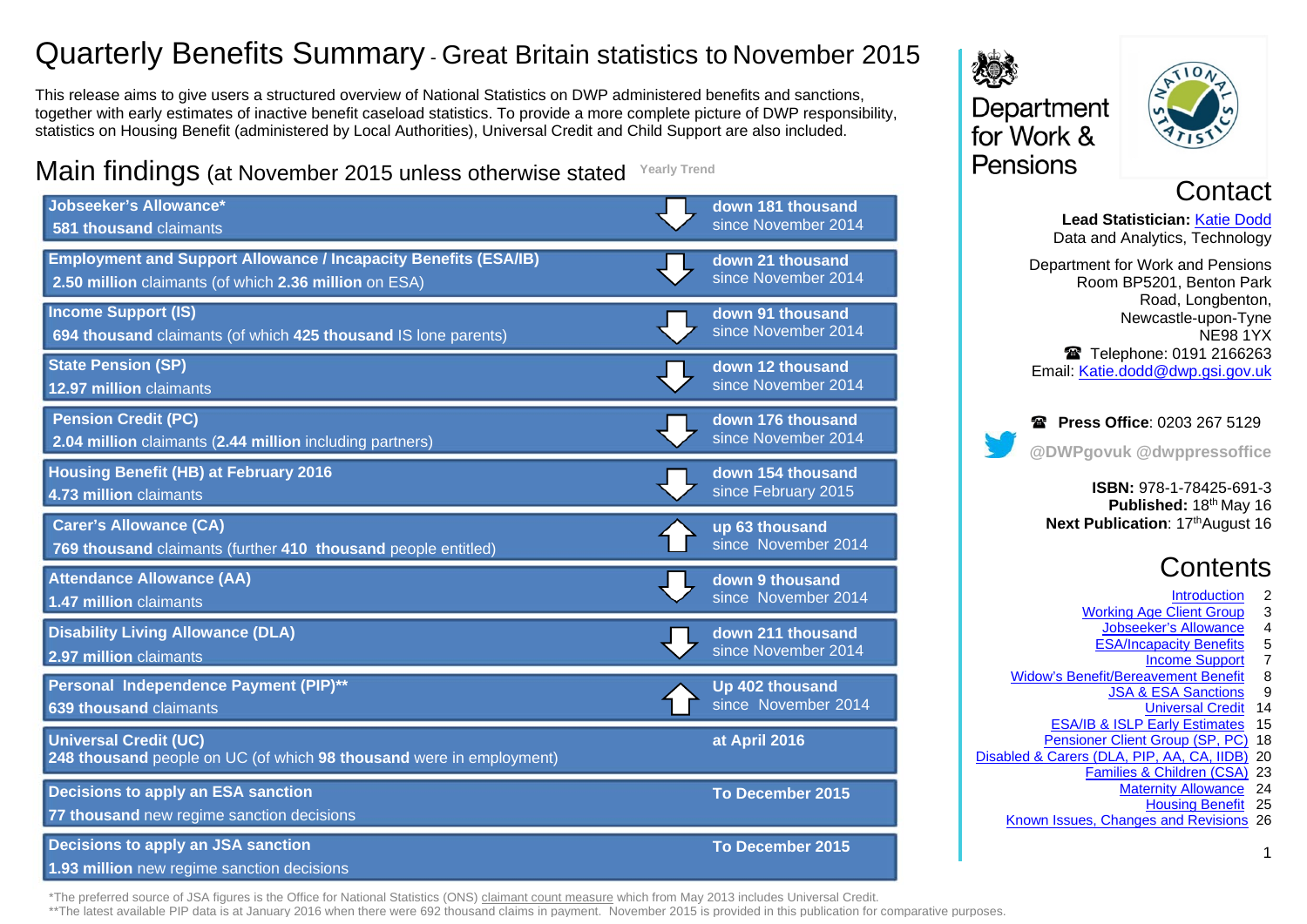# Quarterly Benefits Summary - Great Britain statistics to November 2015

This release aims to give users a structured overview of National Statistics on DWP administered benefits and sanctions, together with early estimates of inactive benefit caseload statistics. To provide a more complete picture of DWP responsibility, statistics on Housing Benefit (administered by Local Authorities), Universal Credit and Child Support are also included.

#### Main findings (at November 2015 unless otherwise stated **Yearly Trend**

| Jobseeker's Allowance*<br>581 thousand claimants                                                                                | down 181 thousand<br>since November 2014 |
|---------------------------------------------------------------------------------------------------------------------------------|------------------------------------------|
| <b>Employment and Support Allowance / Incapacity Benefits (ESA/IB)</b><br>2.50 million claimants (of which 2.36 million on ESA) | down 21 thousand<br>since November 2014  |
| <b>Income Support (IS)</b><br>694 thousand claimants (of which 425 thousand IS lone parents)                                    | down 91 thousand<br>since November 2014  |
| <b>State Pension (SP)</b><br>12.97 million claimants                                                                            | down 12 thousand<br>since November 2014  |
| <b>Pension Credit (PC)</b><br>2.04 million claimants (2.44 million including partners)                                          | down 176 thousand<br>since November 2014 |
| <b>Housing Benefit (HB) at February 2016</b><br>4.73 million claimants                                                          | down 154 thousand<br>since February 2015 |
| <b>Carer's Allowance (CA)</b><br>769 thousand claimants (further 410 thousand people entitled)                                  | up 63 thousand<br>since November 2014    |
| <b>Attendance Allowance (AA)</b><br>1.47 million claimants                                                                      | down 9 thousand<br>since November 2014   |
| <b>Disability Living Allowance (DLA)</b><br>2.97 million claimants                                                              | down 211 thousand<br>since November 2014 |
| Personal Independence Payment (PIP)**<br>639 thousand claimants                                                                 | Up 402 thousand<br>since November 2014   |
| <b>Universal Credit (UC)</b><br>248 thousand people on UC (of which 98 thousand were in employment)                             | at April 2016                            |
| <b>Decisions to apply an ESA sanction</b><br>77 thousand new regime sanction decisions                                          | To December 2015                         |
| <b>Decisions to apply an JSA sanction</b><br>1.93 million new regime sanction decisions                                         | To December 2015                         |





**Contact** 

**Lead Statistician:** [Katie Dodd](#page-25-0) Data and Analytics, Technology Department for Work and Pensions Room BP5201, Benton Park Road, Longbenton, Newcastle-upon-Tyne NE98 1YX Telephone: 0191 2166263 Email: [Katie.dodd@dwp.gsi.gov.uk](mailto:katie.dodd@dwp.gsi.gov.uk)

# **Press Office: 0203 267 5129 @DWPgovuk @dwppressoffice**

**ISBN:** 978-1-78425-691-3 Published: 18<sup>th</sup> May 16 **Next Publication: 17thAugust 16** 

# **Contents**

- 
- **Introduction** 2<br>Client Group 3 [Working Age Client Group](#page-2-0) 3<br>Jobseeker's Allowance 4
	- **Jobseeker's Allowance** 4<br>ESA/Incapacity Benefits 5
	- ESA/Incapacity Benefits
		- [Income Support](#page-6-0) 7
- [Widow's Benefit/Bereavement Benefit](#page-7-0) 8<br>JSA & ESA Sanctions 9
	- [JSA & ESA Sanctions](#page-8-0) 9
		- [Universal Credit](#page-13-0) 14
	- [ESA/IB & ISLP Early Estimates](#page-14-0) 15
- [Pensioner Client Group \(SP, PC\)](#page-17-0) 18
- [Disabled & Carers \(DLA, PIP, AA, CA, IIDB\)](#page-19-0) 20
	- [Families & Children \(CSA\)](#page-22-0) 23
		- [Maternity Allowance](#page-23-0) 24 [Housing Benefit](#page-24-0) 25
		-

1

[Known Issues, Changes and Revisions](#page-25-0) 26

\*The preferred source of JSA figures is the Office for National Statistics (ONS) [claimant count measure](https://www.nomisweb.co.uk/query/select/getdatasetbytheme.asp?theme=72) which from May 2013 includes Universal Credit.

\*\*The latest available [PIP](https://www.gov.uk/government/collections/personal-independence-payment-statistics) data is at January 2016 when there were 692 thousand claims in payment. November 2015 is provided in this publication for comparative purposes.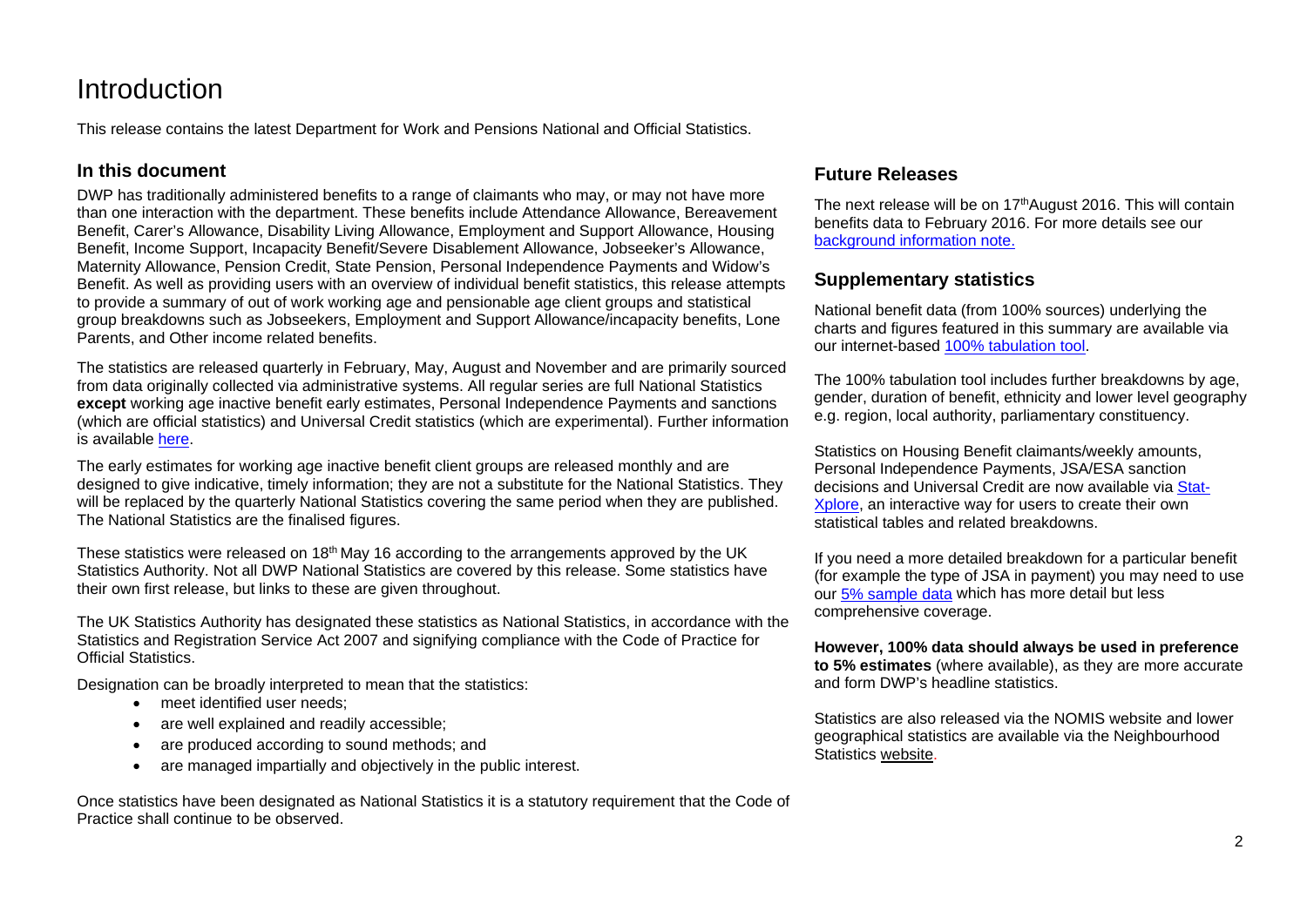# <span id="page-1-0"></span>**Introduction**

This release contains the latest Department for Work and Pensions National and Official Statistics.

## **In this document**

DWP has traditionally administered benefits to a range of claimants who may, or may not have more than one interaction with the department. These benefits include Attendance Allowance, Bereavement Benefit, Carer's Allowance, Disability Living Allowance, Employment and Support Allowance, Housing Benefit, Income Support, Incapacity Benefit/Severe Disablement Allowance, Jobseeker's Allowance, Maternity Allowance, Pension Credit, State Pension, Personal Independence Payments and Widow's Benefit. As well as providing users with an overview of individual benefit statistics, this release attempts to provide a summary of out of work working age and pensionable age client groups and statistical group breakdowns such as Jobseekers, Employment and Support Allowance/incapacity benefits, Lone Parents, and Other income related benefits.

The statistics are released quarterly in February, May, August and November and are primarily sourced from data originally collected via administrative systems. All regular series are full National Statistics **except** working age inactive benefit early estimates, Personal Independence Payments and sanctions (which are official statistics) and Universal Credit statistics (which are experimental). Further information is available [here.](http://www.statisticsauthority.gov.uk/national-statistician/types-of-official-statistics)

The early estimates for working age inactive benefit client groups are released monthly and are designed to give indicative, timely information; they are not a substitute for the National Statistics. They will be replaced by the quarterly National Statistics covering the same period when they are published. The National Statistics are the finalised figures.

These statistics were released on 18<sup>th</sup> May 16 according to the arrangements approved by the UK Statistics Authority. Not all DWP National Statistics are covered by this release. Some statistics have their own first release, but links to these are given throughout.

The UK Statistics Authority has designated these statistics as National Statistics, in accordance with the Statistics and Registration Service Act 2007 and signifying compliance with the Code of Practice for Official Statistics.

Designation can be broadly interpreted to mean that the statistics:

- meet identified user needs;
- are well explained and readily accessible:
- are produced according to sound methods; and
- are managed impartially and objectively in the public interest.

Once statistics have been designated as National Statistics it is a statutory requirement that the Code of Practice shall continue to be observed.

# **Future Releases**

The next release will be on  $17<sup>th</sup>$ August 2016. This will contain benefits data to February 2016. For more details see our [background information note.](https://www.gov.uk/government/statistics/dwp-statistical-summary-policies-and-statements)

### **Supplementary statistics**

National benefit data (from 100% sources) underlying the charts and figures featured in this summary are available via our internet-based [100% tabulation tool.](http://tabulation-tool.dwp.gov.uk/100pc/tabtool.html)

The 100% tabulation tool includes further breakdowns by age, gender, duration of benefit, ethnicity and lower level geography e.g. region, local authority, parliamentary constituency.

Statistics on Housing Benefit claimants/weekly amounts, Personal Independence Payments, JSA/ESA sanction decisions and Universal Credit are now available via [Stat-](https://stat-xplore.dwp.gov.uk/)[Xplore,](https://stat-xplore.dwp.gov.uk/) an interactive way for users to create their own statistical tables and related breakdowns.

If you need a more detailed breakdown for a particular benefit (for example the type of JSA in payment) you may need to use ou[r 5% sample data](http://tabulation-tool.dwp.gov.uk/5pc/tabtool.html) which has more detail but less comprehensive coverage.

**However, 100% data should always be used in preference to 5% estimates** (where available), as they are more accurate and form DWP's headline statistics.

Statistics are also released via the NOMIS website and lower geographical statistics are available via the Neighbourhood Statistics [website.](https://www.nomisweb.co.uk/Default.asp)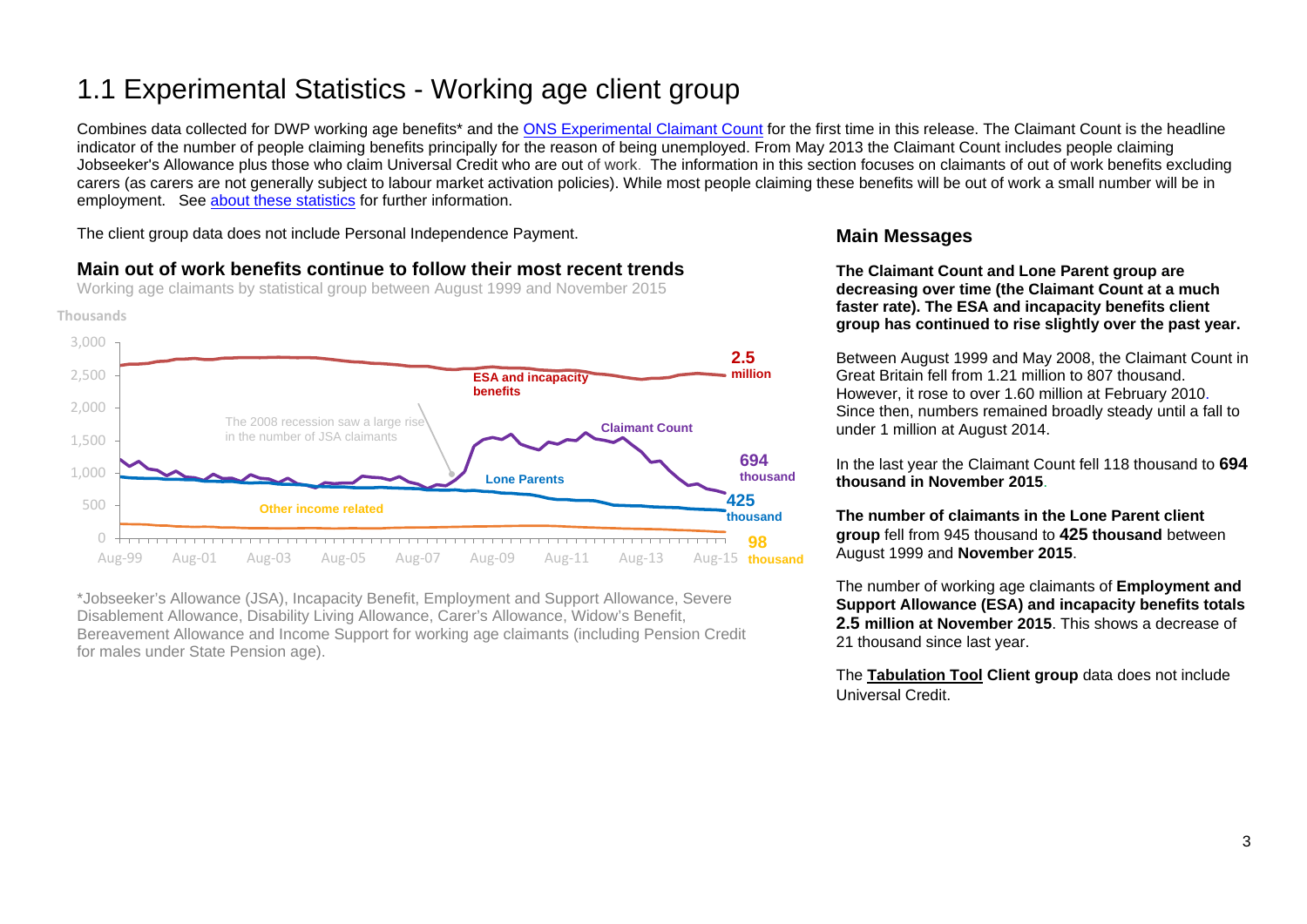# <span id="page-2-0"></span>1.1 Experimental Statistics - Working age client group

Combines data collected for DWP working age benefits<sup>\*</sup> and the [ONS Experimental Claimant Count](https://www.nomisweb.co.uk/query/select/getdatasetbytheme.asp?theme=72) for the first time in this release. The Claimant Count is the headline indicator of the number of people claiming benefits principally for the reason of being unemployed. From May 2013 the Claimant Count includes people claiming Jobseeker's Allowance plus those who claim Universal Credit who are out of work. The information in this section focuses on claimants of out of work benefits excluding carers (as carers are not generally subject to labour market activation policies). While most people claiming these benefits will be out of work a small number will be in employment. See about [these statistics](#page-25-1) for further information.

The client group data does not include Personal Independence Payment.

# **Main out of work benefits continue to follow their most recent trends**

Working age claimants by statistical group between August 1999 and November 2015



\*Jobseeker's Allowance (JSA), Incapacity Benefit, Employment and Support Allowance, Severe Disablement Allowance, Disability Living Allowance, Carer's Allowance, Widow's Benefit, Bereavement Allowance and Income Support for working age claimants (including Pension Credit for males under State Pension age).

# **Main Messages**

**The Claimant Count and Lone Parent group are decreasing over time (the Claimant Count at a much faster rate). The ESA and incapacity benefits client group has continued to rise slightly over the past year.**

Between August 1999 and May 2008, the Claimant Count in Great Britain fell from 1.21 million to 807 thousand. However, it rose to over 1.60 million at February 2010. Since then, numbers remained broadly steady until a fall to under 1 million at August 2014.

In the last year the Claimant Count fell 118 thousand to **694 thousand in November 2015**.

**The number of claimants in the Lone Parent client group** fell from 945 thousand to **425 thousand** between August 1999 and **November 2015**.

The number of working age claimants of **Employment and Support Allowance (ESA) and incapacity benefits totals 2.5 million at November 2015**. This shows a decrease of 21 thousand since last year.

The **[Tabulation](http://tabulation-tool.dwp.gov.uk/100pc/wa/ccdate/ccstatgp/a_carate_r_ccdate_c_ccstatgp.html) Tool Client group** data does not include Universal Credit.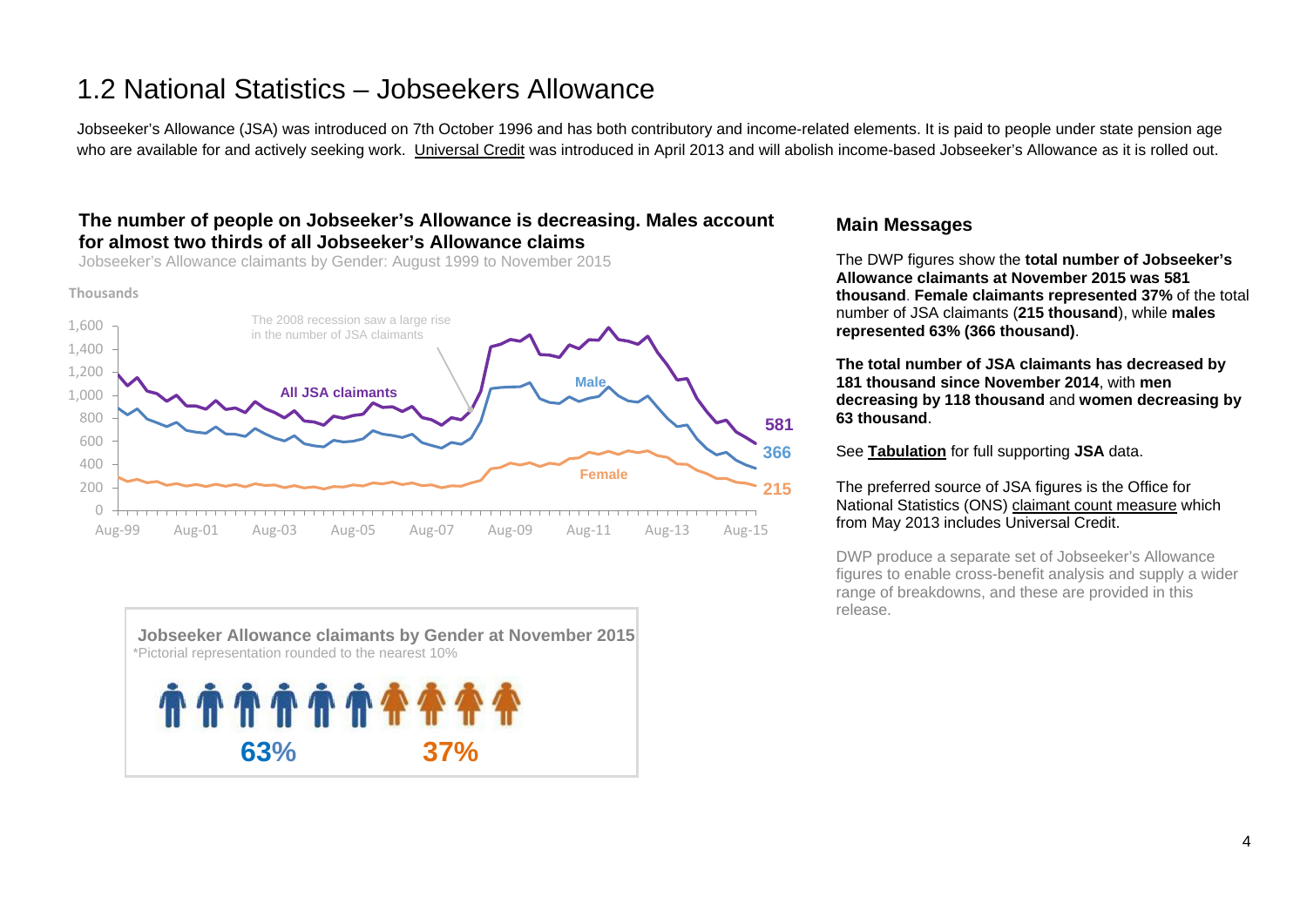# <span id="page-3-0"></span>1.2 National Statistics – Jobseekers Allowance

Jobseeker's Allowance (JSA) was introduced on 7th October 1996 and has both contributory and income-related elements. It is paid to people under state pension age who are available for and actively seeking work. [Universal Credit](https://www.gov.uk/government/collections/universal-credit-statistics) was introduced in April 2013 and will abolish income-based Jobseeker's Allowance as it is rolled out.

## **The number of people on Jobseeker's Allowance is decreasing. Males account for almost two thirds of all Jobseeker's Allowance claims**

Jobseeker's Allowance claimants by Gender: August 1999 to November 2015

**Thousands**





### **Main Messages**

The DWP figures show the **total number of Jobseeker's Allowance claimants at November 2015 was 581 thousand**. **Female claimants represented 37%** of the total number of JSA claimants (**215 thousand**), while **males represented 63% (366 thousand)**.

**The total number of JSA claimants has decreased by 181 thousand since November 2014**, with **men decreasing by 118 thousand** and **women decreasing by 63 thousand**.

See **[Tabulation](http://tabulation-tool.dwp.gov.uk/100pc/jsa/ccdate/ccsex/a_carate_r_ccdate_c_ccsex.html)** for full supporting **JSA** data.

#### The preferred source of JSA figures is the Office for National Statistics (ONS) [claimant count measure](https://www.nomisweb.co.uk/query/select/getdatasetbytheme.asp?theme=72) which from May 2013 includes Universal Credit.

DWP produce a separate set of Jobseeker's Allowance figures to enable cross-benefit analysis and supply a wider range of breakdowns, and these are provided in this release.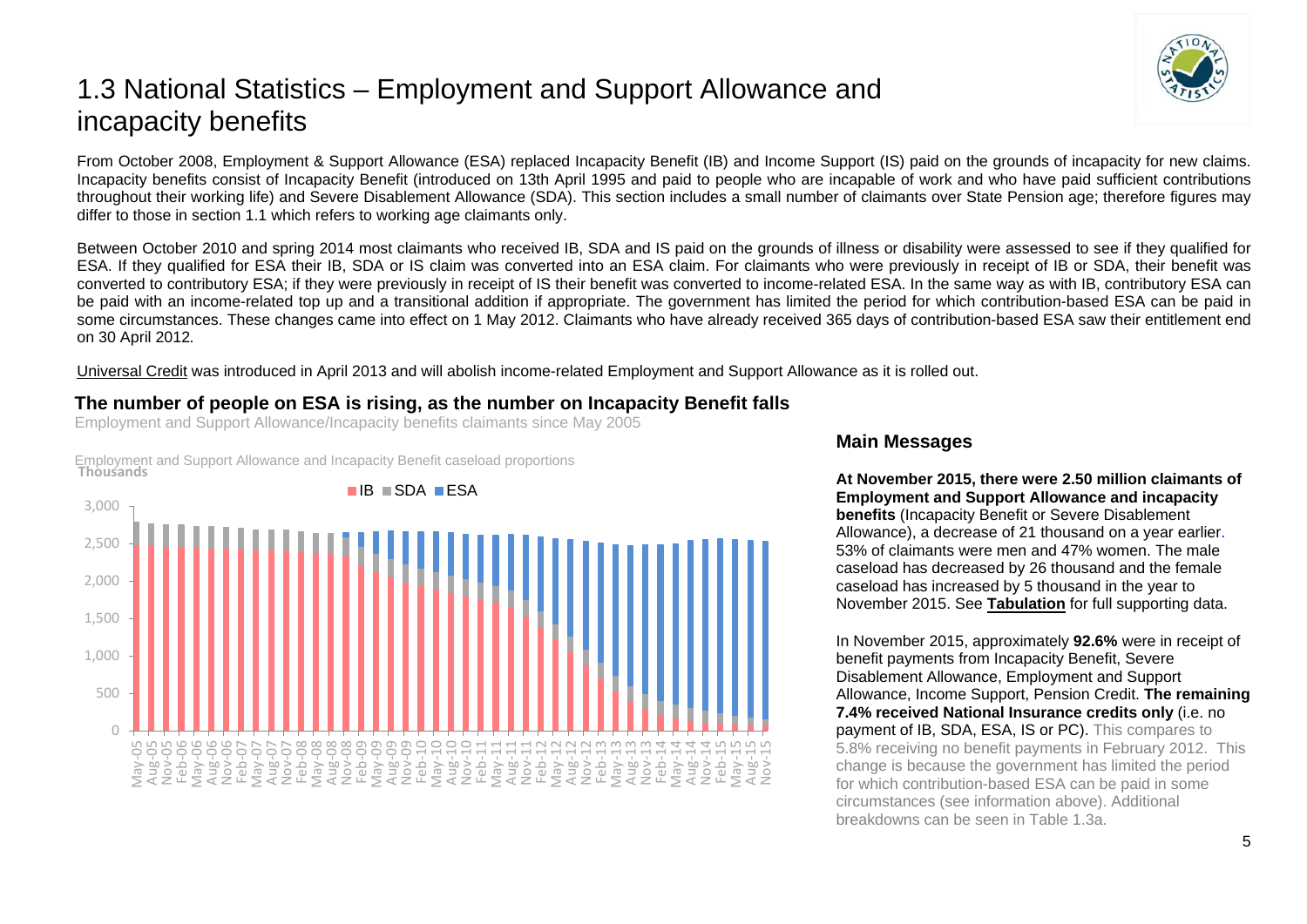# <span id="page-4-0"></span>1.3 National Statistics – Employment and Support Allowance and incapacity benefits

From October 2008, Employment & Support Allowance (ESA) replaced Incapacity Benefit (IB) and Income Support (IS) paid on the grounds of incapacity for new claims. Incapacity benefits consist of Incapacity Benefit (introduced on 13th April 1995 and paid to people who are incapable of work and who have paid sufficient contributions throughout their working life) and Severe Disablement Allowance (SDA). This section includes a small number of claimants over State Pension age; therefore figures may differ to those in section 1.1 which refers to working age claimants only.

Between October 2010 and spring 2014 most claimants who received IB, SDA and IS paid on the grounds of illness or disability were assessed to see if they qualified for ESA. If they qualified for ESA their IB, SDA or IS claim was converted into an ESA claim. For claimants who were previously in receipt of IB or SDA, their benefit was converted to contributory ESA; if they were previously in receipt of IS their benefit was converted to income-related ESA. In the same way as with IB, contributory ESA can be paid with an income-related top up and a transitional addition if appropriate. The government has limited the period for which contribution-based ESA can be paid in some circumstances. These changes came into effect on 1 May 2012. Claimants who have already received 365 days of contribution-based ESA saw their entitlement end on 30 April 2012*.* 

[Universal Credit](https://www.gov.uk/government/collections/universal-credit-statistics) was introduced in April 2013 and will abolish income-related Employment and Support Allowance as it is rolled out.

# **The number of people on ESA is rising, as the number on Incapacity Benefit falls**

Employment and Support Allowance/Incapacity benefits claimants since May 2005

Employment and Support Allowance and Incapacity Benefit caseload proportions **Thousands**



### **Main Messages**

**At November 2015, there were 2.50 million claimants of Employment and Support Allowance and incapacity benefits** (Incapacity Benefit or Severe Disablement Allowance), a decrease of 21 thousand on a year earlier. 53% of claimants were men and 47% women. The male caseload has decreased by 26 thousand and the female caseload has increased by 5 thousand in the year to November 2015. See **[Tabulation](http://tabulation-tool.dwp.gov.uk/100pc/tabtool.html)** for full supporting data.

In November 2015, approximately **92.6%** were in receipt of benefit payments from Incapacity Benefit, Severe Disablement Allowance, Employment and Support Allowance, Income Support, Pension Credit. **The remaining 7.4% received National Insurance credits only** (i.e. no payment of IB, SDA, ESA, IS or PC). This compares to 5.8% receiving no benefit payments in February 2012. This change is because the government has limited the period for which contribution-based ESA can be paid in some circumstances (see information above). Additional breakdowns can be seen in Table 1.3a.

5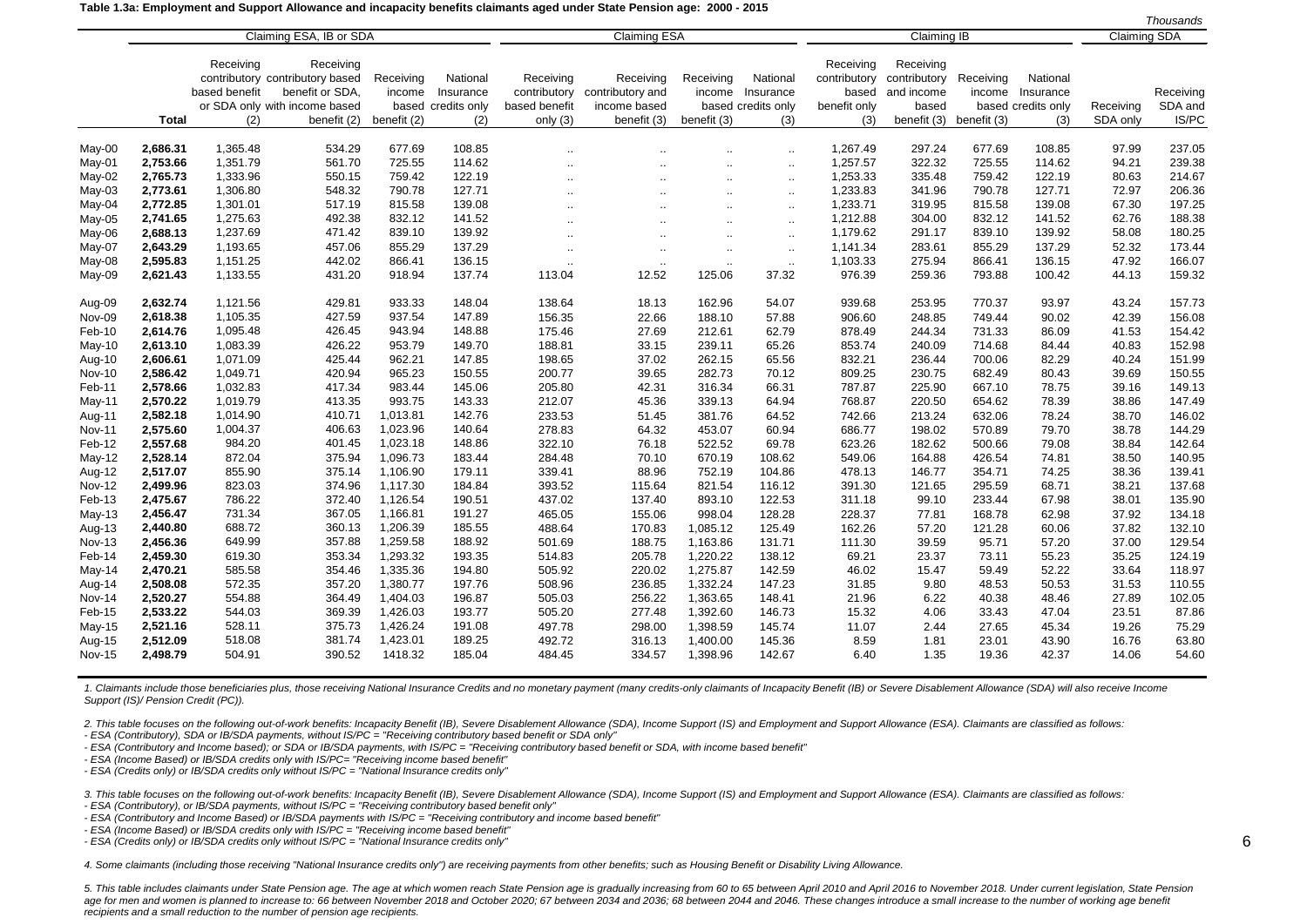#### **Table 1.3a: Employment and Support Allowance and incapacity benefits claimants aged under State Pension age: 2000 - 2015**

|               |          |               |                                 |             |                    |               |                      |                      |                      |              |                    |             |                    |                     | Thousands |
|---------------|----------|---------------|---------------------------------|-------------|--------------------|---------------|----------------------|----------------------|----------------------|--------------|--------------------|-------------|--------------------|---------------------|-----------|
|               |          |               | Claiming ESA, IB or SDA         |             |                    |               | <b>Claiming ESA</b>  |                      |                      |              | <b>Claiming IB</b> |             |                    | <b>Claiming SDA</b> |           |
|               |          |               |                                 |             |                    |               |                      |                      |                      |              |                    |             |                    |                     |           |
|               |          | Receiving     | Receiving                       |             |                    |               |                      |                      |                      | Receiving    | Receiving          |             |                    |                     |           |
|               |          |               | contributory contributory based | Receiving   | National           | Receiving     | Receiving            | Receiving            | National             | contributory | contributory       | Receiving   | National           |                     |           |
|               |          | based benefit | benefit or SDA,                 | income      | Insurance          | contributory  | contributory and     | income               | Insurance            | based        | and income         | income      | Insurance          |                     | Receiving |
|               |          |               | or SDA only with income based   |             | based credits only | based benefit | income based         |                      | based credits only   | benefit only | based              |             | based credits only | Receiving           | SDA and   |
|               | Total    | (2)           | benefit (2)                     | benefit (2) | (2)                | only $(3)$    | benefit (3)          | benefit (3)          | (3)                  | (3)          | benefit (3)        | benefit (3) | (3)                | SDA only            | IS/PC     |
| May-00        | 2,686.31 | 1,365.48      | 534.29                          | 677.69      | 108.85             |               | $\ddot{\phantom{a}}$ | $\ddot{\phantom{a}}$ | $\ddot{\phantom{a}}$ | 1,267.49     | 297.24             | 677.69      | 108.85             | 97.99               | 237.05    |
| May-01        | 2,753.66 | 1,351.79      | 561.70                          | 725.55      | 114.62             |               |                      | $\ddotsc$            | $\ldots$             | 1,257.57     | 322.32             | 725.55      | 114.62             | 94.21               | 239.38    |
| May-02        | 2,765.73 | 1,333.96      | 550.15                          | 759.42      | 122.19             |               | $\cdot$ .            | $\ddotsc$            | $\ddotsc$            | 1,253.33     | 335.48             | 759.42      | 122.19             | 80.63               | 214.67    |
| May-03        | 2,773.61 | 1,306.80      | 548.32                          | 790.78      | 127.71             |               | $\ddot{\phantom{a}}$ | $\ddot{\phantom{a}}$ | $\sim$               | 1,233.83     | 341.96             | 790.78      | 127.71             | 72.97               | 206.36    |
| May-04        | 2,772.85 | 1,301.01      | 517.19                          | 815.58      | 139.08             |               | $\cdot$ .            | $\ldots$             | $\sim$               | 1,233.71     | 319.95             | 815.58      | 139.08             | 67.30               | 197.25    |
| May-05        | 2,741.65 | 1,275.63      | 492.38                          | 832.12      | 141.52             |               | $\cdot$ .            | $\ddotsc$            | $\sim$               | 1,212.88     | 304.00             | 832.12      | 141.52             | 62.76               | 188.38    |
| May-06        | 2,688.13 | 1,237.69      | 471.42                          | 839.10      | 139.92             |               |                      |                      | $\ddotsc$            | 1.179.62     | 291.17             | 839.10      | 139.92             | 58.08               | 180.25    |
| May-07        | 2,643.29 | 1,193.65      | 457.06                          | 855.29      | 137.29             |               |                      | $\ddotsc$            | $\ddotsc$            | 1,141.34     | 283.61             | 855.29      | 137.29             | 52.32               | 173.44    |
| May-08        | 2,595.83 | 1,151.25      | 442.02                          | 866.41      | 136.15             |               | $\cdot$ .            | $\ldots$             |                      | 1,103.33     | 275.94             | 866.41      | 136.15             | 47.92               | 166.07    |
| May-09        | 2,621.43 | 1,133.55      | 431.20                          | 918.94      | 137.74             | <br>113.04    | $\cdot$ .<br>12.52   | $\cdot$ .<br>125.06  | $\sim$<br>37.32      | 976.39       | 259.36             | 793.88      | 100.42             | 44.13               | 159.32    |
|               |          |               |                                 |             |                    |               |                      |                      |                      |              |                    |             |                    |                     |           |
| Aug-09        | 2,632.74 | 1,121.56      | 429.81                          | 933.33      | 148.04             | 138.64        | 18.13                | 162.96               | 54.07                | 939.68       | 253.95             | 770.37      | 93.97              | 43.24               | 157.73    |
| Nov-09        | 2,618.38 | 1,105.35      | 427.59                          | 937.54      | 147.89             | 156.35        | 22.66                | 188.10               | 57.88                | 906.60       | 248.85             | 749.44      | 90.02              | 42.39               | 156.08    |
| Feb-10        | 2,614.76 | 1,095.48      | 426.45                          | 943.94      | 148.88             | 175.46        | 27.69                | 212.61               | 62.79                | 878.49       | 244.34             | 731.33      | 86.09              | 41.53               | 154.42    |
| May-10        | 2,613.10 | 1,083.39      | 426.22                          | 953.79      | 149.70             | 188.81        | 33.15                | 239.11               | 65.26                | 853.74       | 240.09             | 714.68      | 84.44              | 40.83               | 152.98    |
| Aug-10        | 2,606.61 | 1,071.09      | 425.44                          | 962.21      | 147.85             | 198.65        | 37.02                | 262.15               | 65.56                | 832.21       | 236.44             | 700.06      | 82.29              | 40.24               | 151.99    |
| <b>Nov-10</b> | 2,586.42 | 1,049.71      | 420.94                          | 965.23      | 150.55             | 200.77        | 39.65                | 282.73               | 70.12                | 809.25       | 230.75             | 682.49      | 80.43              | 39.69               | 150.55    |
| Feb-11        | 2,578.66 | 1,032.83      | 417.34                          | 983.44      | 145.06             | 205.80        | 42.31                | 316.34               | 66.31                | 787.87       | 225.90             | 667.10      | 78.75              | 39.16               | 149.13    |
| May-11        | 2,570.22 | 1,019.79      | 413.35                          | 993.75      | 143.33             | 212.07        | 45.36                | 339.13               | 64.94                | 768.87       | 220.50             | 654.62      | 78.39              | 38.86               | 147.49    |
| Aug-11        | 2,582.18 | 1,014.90      | 410.71                          | 1,013.81    | 142.76             | 233.53        | 51.45                | 381.76               | 64.52                | 742.66       | 213.24             | 632.06      | 78.24              | 38.70               | 146.02    |
| Nov-11        | 2,575.60 | 1,004.37      | 406.63                          | 1,023.96    | 140.64             | 278.83        | 64.32                | 453.07               | 60.94                | 686.77       | 198.02             | 570.89      | 79.70              | 38.78               | 144.29    |
| Feb-12        | 2,557.68 | 984.20        | 401.45                          | 1,023.18    | 148.86             | 322.10        | 76.18                | 522.52               | 69.78                | 623.26       | 182.62             | 500.66      | 79.08              | 38.84               | 142.64    |
| May-12        | 2,528.14 | 872.04        | 375.94                          | 1,096.73    | 183.44             | 284.48        | 70.10                | 670.19               | 108.62               | 549.06       | 164.88             | 426.54      | 74.81              | 38.50               | 140.95    |
| Aug-12        | 2,517.07 | 855.90        | 375.14                          | 1,106.90    | 179.11             | 339.41        | 88.96                | 752.19               | 104.86               | 478.13       | 146.77             | 354.71      | 74.25              | 38.36               | 139.41    |
| <b>Nov-12</b> | 2,499.96 | 823.03        | 374.96                          | 1,117.30    | 184.84             | 393.52        | 115.64               | 821.54               | 116.12               | 391.30       | 121.65             | 295.59      | 68.71              | 38.21               | 137.68    |
| Feb-13        | 2,475.67 | 786.22        | 372.40                          | 1,126.54    | 190.51             | 437.02        | 137.40               | 893.10               | 122.53               | 311.18       | 99.10              | 233.44      | 67.98              | 38.01               | 135.90    |
| $May-13$      | 2,456.47 | 731.34        | 367.05                          | 1,166.81    | 191.27             | 465.05        | 155.06               | 998.04               | 128.28               | 228.37       | 77.81              | 168.78      | 62.98              | 37.92               | 134.18    |
| Aug-13        | 2,440.80 | 688.72        | 360.13                          | 1,206.39    | 185.55             | 488.64        | 170.83               | 1,085.12             | 125.49               | 162.26       | 57.20              | 121.28      | 60.06              | 37.82               | 132.10    |
| <b>Nov-13</b> | 2,456.36 | 649.99        | 357.88                          | 1,259.58    | 188.92             | 501.69        | 188.75               | 1,163.86             | 131.71               | 111.30       | 39.59              | 95.71       | 57.20              | 37.00               | 129.54    |
| Feb-14        | 2,459.30 | 619.30        | 353.34                          | 1,293.32    | 193.35             | 514.83        | 205.78               | 1,220.22             | 138.12               | 69.21        | 23.37              | 73.11       | 55.23              | 35.25               | 124.19    |
| May-14        | 2,470.21 | 585.58        | 354.46                          | 1,335.36    | 194.80             | 505.92        | 220.02               | 1,275.87             | 142.59               | 46.02        | 15.47              | 59.49       | 52.22              | 33.64               | 118.97    |
| Aug-14        | 2,508.08 | 572.35        | 357.20                          | 1,380.77    | 197.76             | 508.96        | 236.85               | 1,332.24             | 147.23               | 31.85        | 9.80               | 48.53       | 50.53              | 31.53               | 110.55    |
| <b>Nov-14</b> | 2,520.27 | 554.88        | 364.49                          | 1,404.03    | 196.87             | 505.03        | 256.22               | 1,363.65             | 148.41               | 21.96        | 6.22               | 40.38       | 48.46              | 27.89               | 102.05    |
| Feb-15        | 2,533.22 | 544.03        | 369.39                          | 1,426.03    | 193.77             | 505.20        | 277.48               | 1,392.60             | 146.73               | 15.32        | 4.06               | 33.43       | 47.04              | 23.51               | 87.86     |
| May-15        | 2,521.16 | 528.11        | 375.73                          | 1,426.24    | 191.08             | 497.78        | 298.00               | 1,398.59             | 145.74               | 11.07        | 2.44               | 27.65       | 45.34              | 19.26               | 75.29     |
| Aug-15        | 2,512.09 | 518.08        | 381.74                          | 1,423.01    | 189.25             | 492.72        | 316.13               | 1,400.00             | 145.36               | 8.59         | 1.81               | 23.01       | 43.90              | 16.76               | 63.80     |
| <b>Nov-15</b> | 2,498.79 | 504.91        | 390.52                          | 1418.32     | 185.04             | 484.45        | 334.57               | 1,398.96             | 142.67               | 6.40         | 1.35               | 19.36       | 42.37              | 14.06               | 54.60     |
|               |          |               |                                 |             |                    |               |                      |                      |                      |              |                    |             |                    |                     |           |

1. Claimants include those beneficiaries plus, those receiving National Insurance Credits and no monetary payment (many credits-only claimants of Incapacity Benefit (IB) or Severe Disablement Allowance (SDA) will also rece *Support (IS)/ Pension Credit (PC)).*

2. This table focuses on the following out-of-work benefits: Incapacity Benefit (IB), Severe Disablement Allowance (SDA), Income Support (IS) and Employment and Support Allowance (ESA). Claimants are classified as follows:

*- ESA (Contributory), SDA or IB/SDA payments, without IS/PC = "Receiving contributory based benefit or SDA only"*

*- ESA (Contributory and Income based); or SDA or IB/SDA payments, with IS/PC = "Receiving contributory based benefit or SDA, with income based benefit"*

*- ESA (Income Based) or IB/SDA credits only with IS/PC= "Receiving income based benefit"*

*- ESA (Credits only) or IB/SDA credits only without IS/PC = "National Insurance credits only"*

3. This table focuses on the following out-of-work benefits: Incapacity Benefit (IB), Severe Disablement Allowance (SDA), Income Support (IS) and Employment and Support Allowance (ESA). Claimants are classified as follows:

*- ESA (Contributory), or IB/SDA payments, without IS/PC = "Receiving contributory based benefit only"*

*- ESA (Contributory and Income Based) or IB/SDA payments with IS/PC = "Receiving contributory and income based benefit"*

*- ESA (Income Based) or IB/SDA credits only with IS/PC = "Receiving income based benefit"*

*- ESA (Credits only) or IB/SDA credits only without IS/PC = "National Insurance credits only"*

*4. Some claimants (including those receiving "National Insurance credits only") are receiving payments from other benefits; such as Housing Benefit or Disability Living Allowance.*

6

5. This table includes claimants under State Pension age. The age at which women reach State Pension age is gradually increasing from 60 to 65 between April 2010 and April 2016 to November 2018. Under current legislation, age for men and women is planned to increase to: 66 between November 2018 and October 2020; 67 between 2034 and 2036; 68 between 2044 and 2046. These changes introduce a small increase to the number of working age benefit *recipients and a small reduction to the number of pension age recipients.*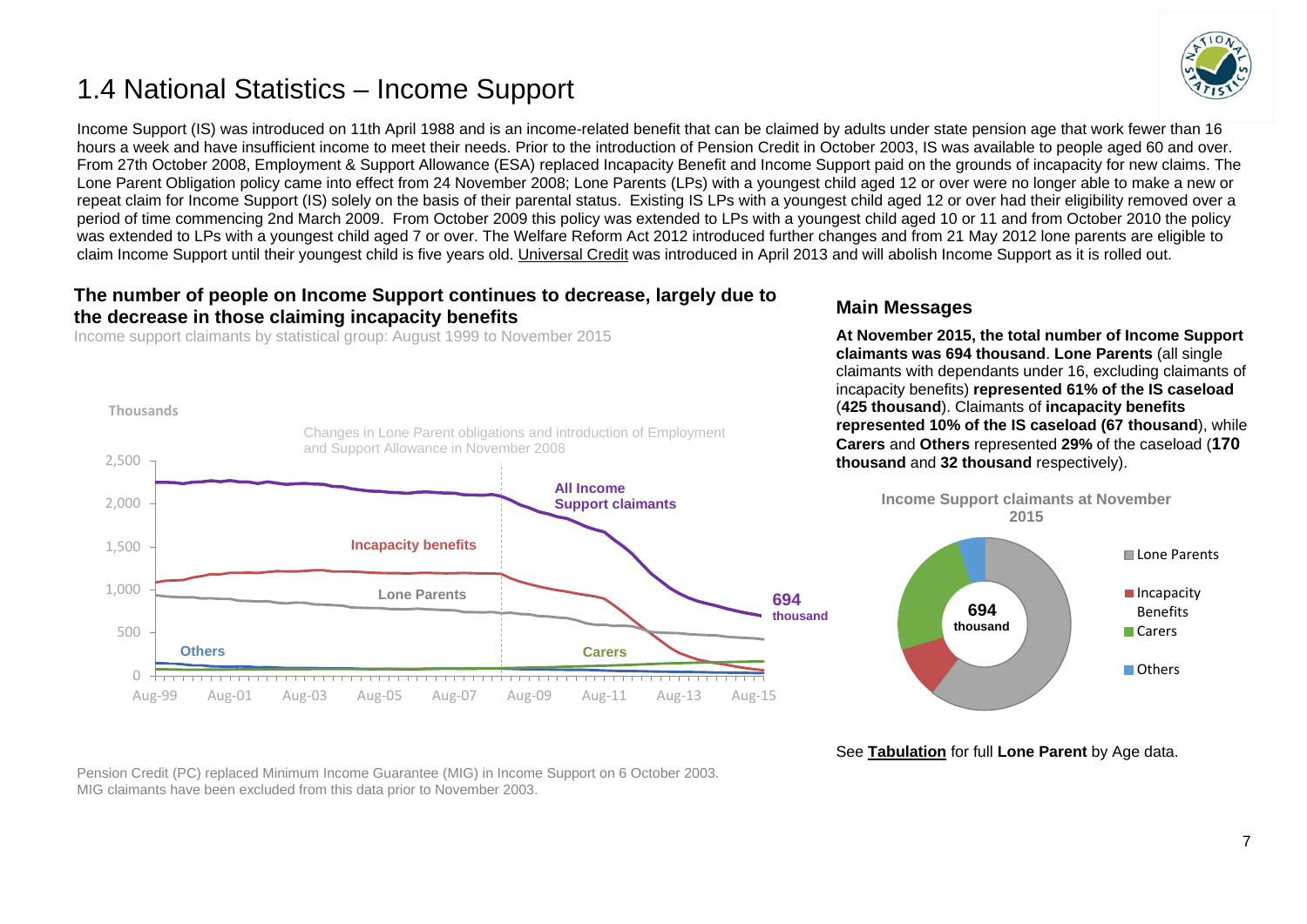# <span id="page-6-0"></span>1.4 National Statistics – Income Support



Income Support (IS) was introduced on 11th April 1988 and is an income-related benefit that can be claimed by adults under state pension age that work fewer than 16 hours a week and have insufficient income to meet their needs. Prior to the introduction of Pension Credit in October 2003, IS was available to people aged 60 and over. From 27th October 2008, Employment & Support Allowance (ESA) replaced Incapacity Benefit and Income Support paid on the grounds of incapacity for new claims. The Lone Parent Obligation policy came into effect from 24 November 2008; Lone Parents (LPs) with a youngest child aged 12 or over were no longer able to make a new or repeat claim for Income Support (IS) solely on the basis of their parental status. Existing IS LPs with a youngest child aged 12 or over had their eligibility removed over a period of time commencing 2nd March 2009. From October 2009 this policy was extended to LPs with a youngest child aged 10 or 11 and from October 2010 the policy was extended to LPs with a youngest child aged 7 or over. The Welfare Reform Act 2012 introduced further changes and from 21 May 2012 lone parents are eligible to claim Income Support until their youngest child is five years old. [Universal Credit](https://www.gov.uk/government/collections/universal-credit-statistics) was introduced in April 2013 and will abolish Income Support as it is rolled out.

### **The number of people on Income Support continues to decrease, largely due to the decrease in those claiming incapacity benefits**

Income support claimants by statistical group: August 1999 to November 2015



## **Main Messages**

**At November 2015, the total number of Income Support claimants was 694 thousand**. **Lone Parents** (all single claimants with dependants under 16, excluding claimants of incapacity benefits) **represented 61% of the IS caseload** (**425 thousand**). Claimants of **incapacity benefits represented 10% of the IS caseload (67 thousand**), while **Carers** and **Others** represented **29%** of the caseload (**170 thousand** and **32 thousand** respectively).



See **[Tabulation](http://tabulation-tool.dwp.gov.uk/100pc/is/tabtool_is.html)** for full **Lone Parent** by Age data.

Pension Credit (PC) replaced Minimum Income Guarantee (MIG) in Income Support on 6 October 2003. MIG claimants have been excluded from this data prior to November 2003.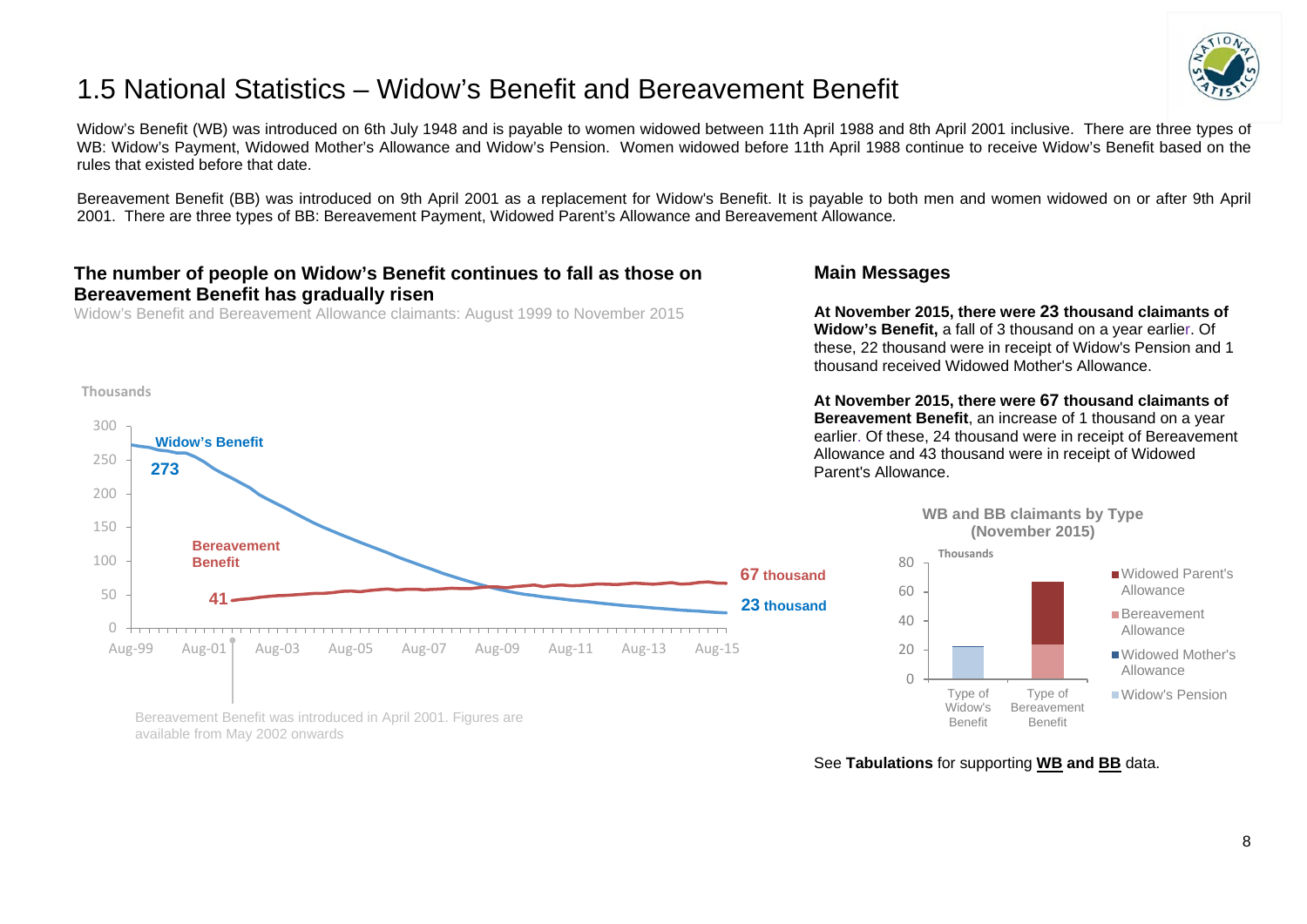# <span id="page-7-0"></span>1.5 National Statistics – Widow's Benefit and Bereavement Benefit



Widow's Benefit (WB) was introduced on 6th July 1948 and is payable to women widowed between 11th April 1988 and 8th April 2001 inclusive. There are three types of WB: Widow's Payment, Widowed Mother's Allowance and Widow's Pension. Women widowed before 11th April 1988 continue to receive Widow's Benefit based on the rules that existed before that date.

Bereavement Benefit (BB) was introduced on 9th April 2001 as a replacement for Widow's Benefit. It is payable to both men and women widowed on or after 9th April 2001. There are three types of BB: Bereavement Payment, Widowed Parent's Allowance and Bereavement Allowance*.*

## **The number of people on Widow's Benefit continues to fall as those on Bereavement Benefit has gradually risen**

Widow's Benefit and Bereavement Allowance claimants: August 1999 to November 2015

#### **Thousands**



Bereavement Benefit was introduced in April 2001. Figures are available from May 2002 onwards

## **Main Messages**

**At November 2015, there were 23 thousand claimants of Widow's Benefit,** a fall of 3 thousand on a year earlier. Of these, 22 thousand were in receipt of Widow's Pension and 1 thousand received Widowed Mother's Allowance.

**At November 2015, there were 67 thousand claimants of Bereavement Benefit**, an increase of 1 thousand on a year earlier. Of these, 24 thousand were in receipt of Bereavement Allowance and 43 thousand were in receipt of Widowed Parent's Allowance.



See **Tabulations** for supporting **[WB](http://tabulation-tool.dwp.gov.uk/100pc/wb/ccdate/cat/a_carate_r_ccdate_c_cat.html) and [BB](http://tabulation-tool.dwp.gov.uk/100pc/bb/ccdate/cat/a_carate_r_ccdate_c_cat.html)** data.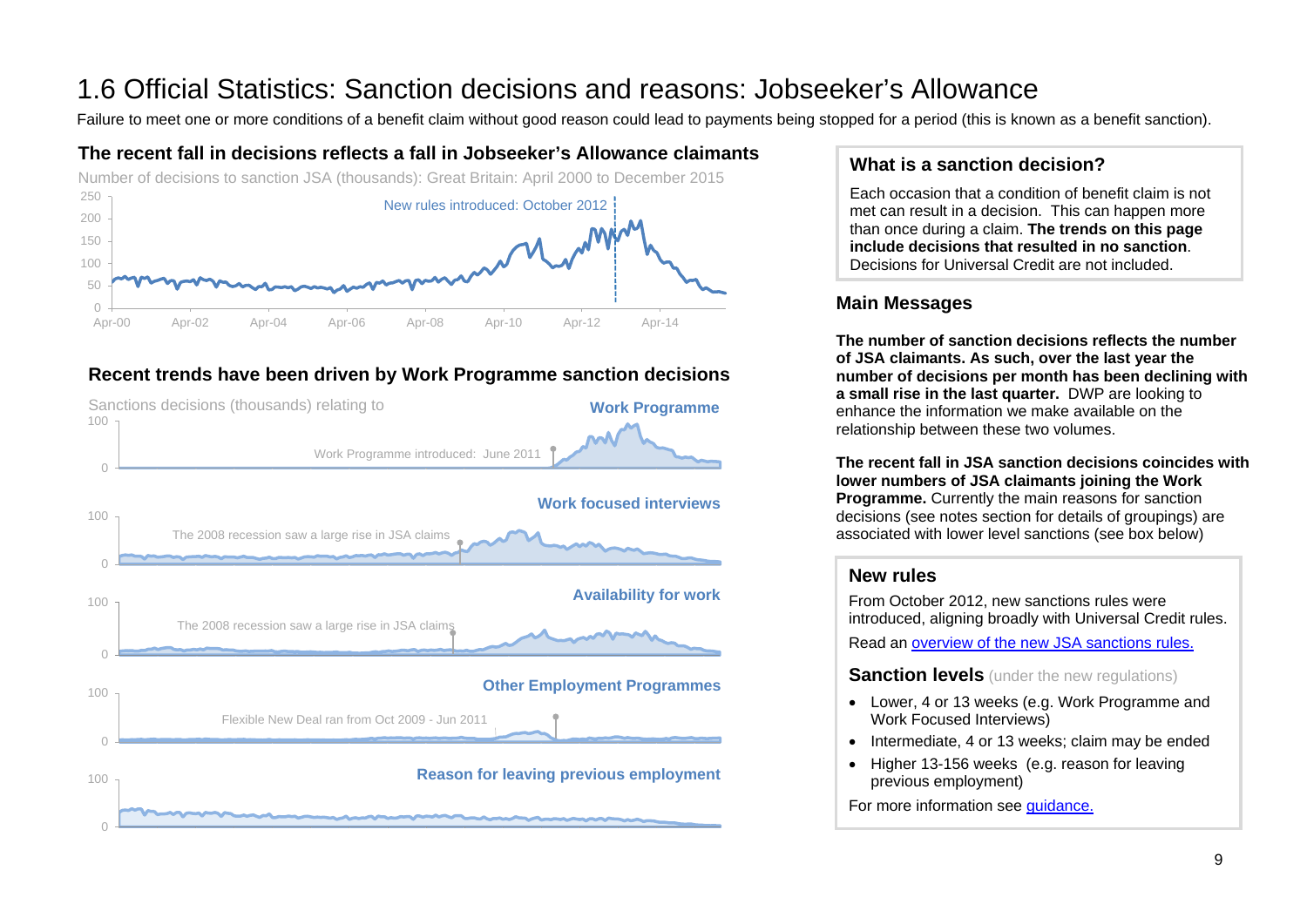# <span id="page-8-0"></span>1.6 Official Statistics: Sanction decisions and reasons: Jobseeker's Allowance<br>Failure to meet one or more conditions of a benefit claim without good reason could lead to payments being stopped for a period (this is known

# **The recent fall in decisions reflects a fall in Jobseeker's Allowance claimants**



# **Recent trends have been driven by Work Programme sanction decisions**



# **What is a sanction decision?**

Each occasion that a condition of benefit claim is not met can result in a decision. This can happen more than once during a claim. **The trends on this page include decisions that resulted in no sanction**. Decisions for Universal Credit are not included.

# **Main Messages**

**The number of sanction decisions reflects the number of JSA claimants. As such, over the last year the number of decisions per month has been declining with a small rise in the last quarter.** DWP are looking to enhance the information we make available on the relationship between these two volumes.

**The recent fall in JSA sanction decisions coincides with lower numbers of JSA claimants joining the Work Programme.** Currently the main reasons for sanction decisions (see notes section for details of groupings) are associated with lower level sanctions (see box below)

# **New rules**

From October 2012, new sanctions rules were introduced, aligning broadly with Universal Credit rules. Read an [overview of the new JSA sanctions rules.](https://www.gov.uk/government/publications/jobseekers-allowance-overview-of-sanctions-rules)

**Sanction levels** (under the new regulations)

- Lower, 4 or 13 weeks (e.g. Work Programme and Work Focused Interviews)
- Intermediate, 4 or 13 weeks; claim may be ended
- Higher 13-156 weeks (e.g. reason for leaving previous employment)

For more information see quidance.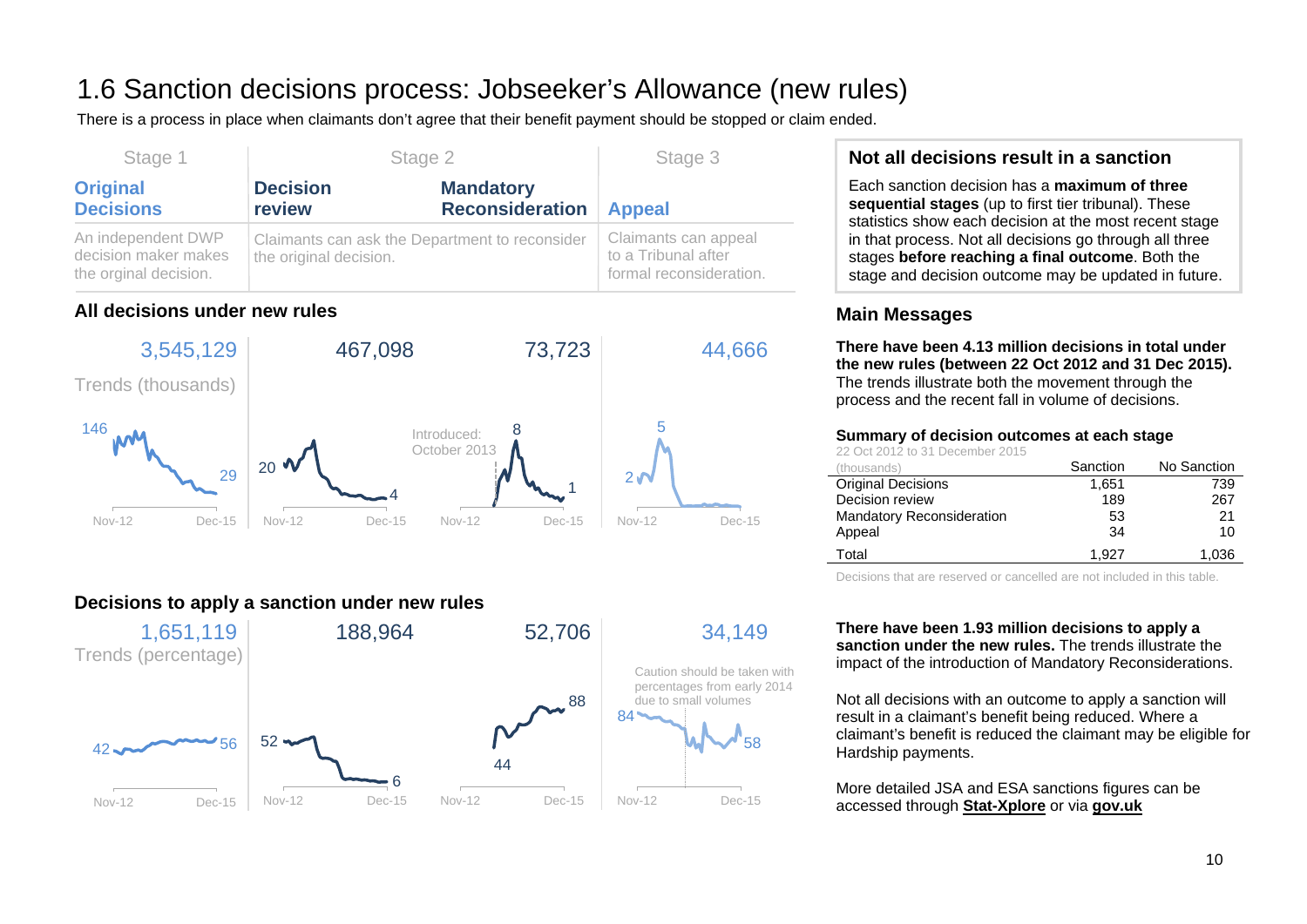# 1.6 Sanction decisions process: Jobseeker's Allowance (new rules)

There is a process in place when claimants don't agree that their benefit payment should be stopped or claim ended.

| Stage 1                                                             | Stage 2                                                                  |                                            | Stage 3                                                                |
|---------------------------------------------------------------------|--------------------------------------------------------------------------|--------------------------------------------|------------------------------------------------------------------------|
| <b>Original</b><br><b>Decisions</b>                                 | <b>Decision</b><br>review                                                | <b>Mandatory</b><br><b>Reconsideration</b> | <b>Appeal</b>                                                          |
| An independent DWP<br>decision maker makes<br>the orginal decision. | Claimants can ask the Department to reconsider<br>the original decision. |                                            | Claimants can appeal<br>to a Tribunal after<br>formal reconsideration. |

# **All decisions under new rules**



# **Decisions to apply a sanction under new rules**



# **Not all decisions result in a sanction**

Each sanction decision has a **maximum of three sequential stages** (up to first tier tribunal). These statistics show each decision at the most recent stage in that process. Not all decisions go through all three stages **before reaching a final outcome**. Both the stage and decision outcome may be updated in future.

# **Main Messages**

**There have been 4.13 million decisions in total under the new rules (between 22 Oct 2012 and 31 Dec 2015).** The trends illustrate both the movement through the process and the recent fall in volume of decisions.

#### **Summary of decision outcomes at each stage**

22 Oct 2012 to 31 December 2015

| (thousands)                      | Sanction | No Sanction |
|----------------------------------|----------|-------------|
| <b>Original Decisions</b>        | 1,651    | 739         |
| Decision review                  | 189      | 267         |
| <b>Mandatory Reconsideration</b> | 53       | 21          |
| Appeal                           | 34       | 10          |
| Total                            | 1.927    | 1.036       |

Decisions that are reserved or cancelled are not included in this table.

**There have been 1.93 million decisions to apply a sanction under the new rules.** The trends illustrate the impact of the introduction of Mandatory Reconsiderations.

Not all decisions with an outcome to apply a sanction will result in a claimant's benefit being reduced. Where a claimant's benefit is reduced the claimant may be eligible for Hardship payments.

More detailed JSA and ESA sanctions figures can be accessed through **[Stat-Xplore](https://stat-xplore.dwp.gov.uk/)** or via **[gov.uk](https://www.gov.uk/government/collections/jobseekers-allowance-sanctions)**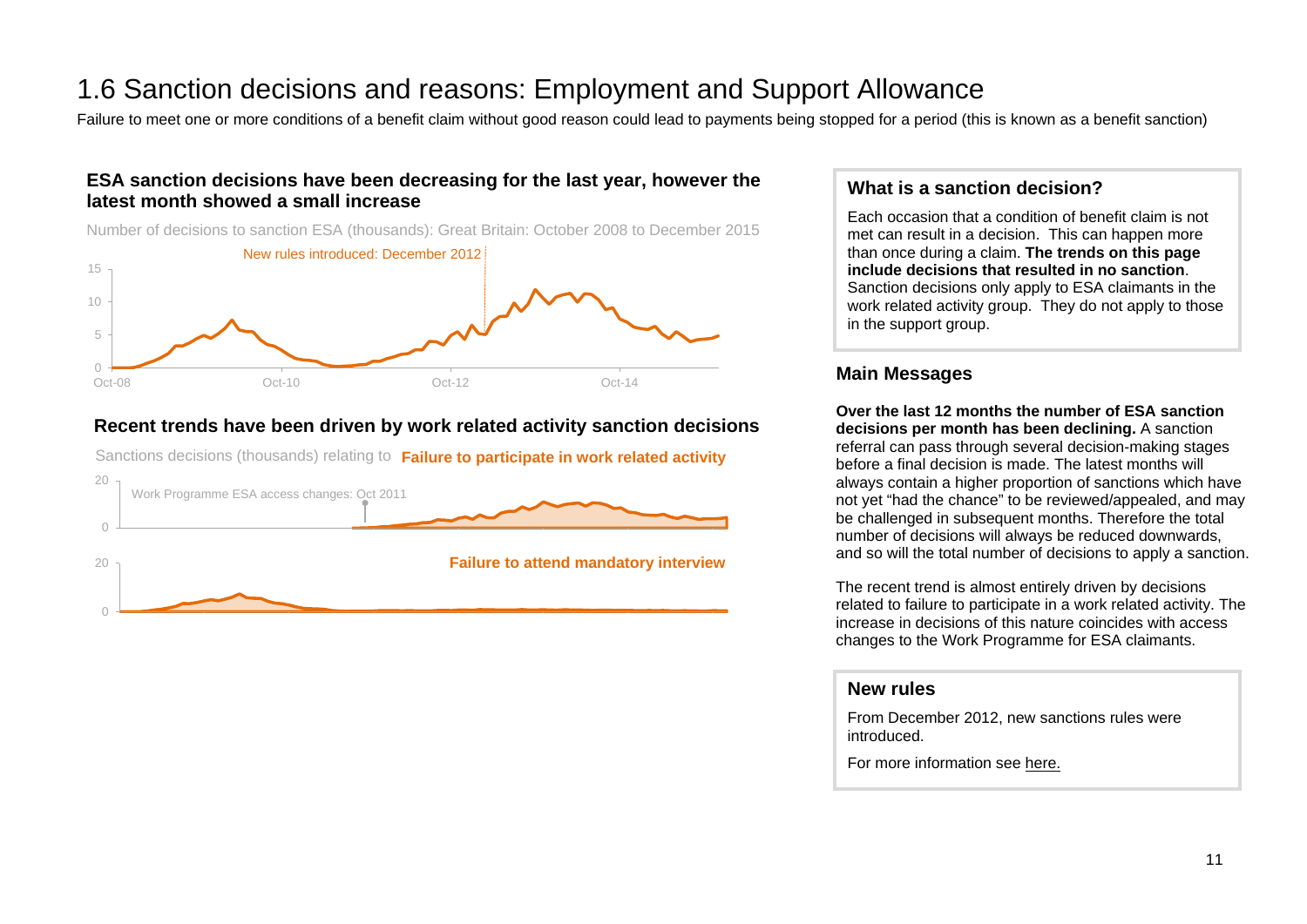# 1.6 Sanction decisions and reasons: Employment and Support Allowance<br>Failure to meet one or more conditions of a benefit claim without good reason could lead to payments being stopped for a period (this is known as a benef

# **ESA sanction decisions have been decreasing for the last year, however the latest month showed a small increase**

Number of decisions to sanction ESA (thousands): Great Britain: October 2008 to December 2015



# **Recent trends have been driven by work related activity sanction decisions**

Sanctions decisions (thousands) relating to **Failure to participate in work related activity**



# **What is a sanction decision?**

Each occasion that a condition of benefit claim is not met can result in a decision. This can happen more than once during a claim. **The trends on this page include decisions that resulted in no sanction**. Sanction decisions only apply to ESA claimants in the work related activity group. They do not apply to those in the support group.

## **Main Messages**

**Over the last 12 months the number of ESA sanction decisions per month has been declining.** A sanction referral can pass through several decision-making stages before a final decision is made. The latest months will always contain a higher proportion of sanctions which have not yet "had the chance" to be reviewed/appealed, and may be challenged in subsequent months. Therefore the total number of decisions will always be reduced downwards, and so will the total number of decisions to apply a sanction.

The recent trend is almost entirely driven by decisions related to failure to participate in a work related activity. The increase in decisions of this nature coincides with access changes to the Work Programme for ESA claimants.

### **New rules**

From December 2012, new sanctions rules were introduced.

For more information see [here.](https://www.gov.uk/government/collections/jobseekers-allowance-sanctions)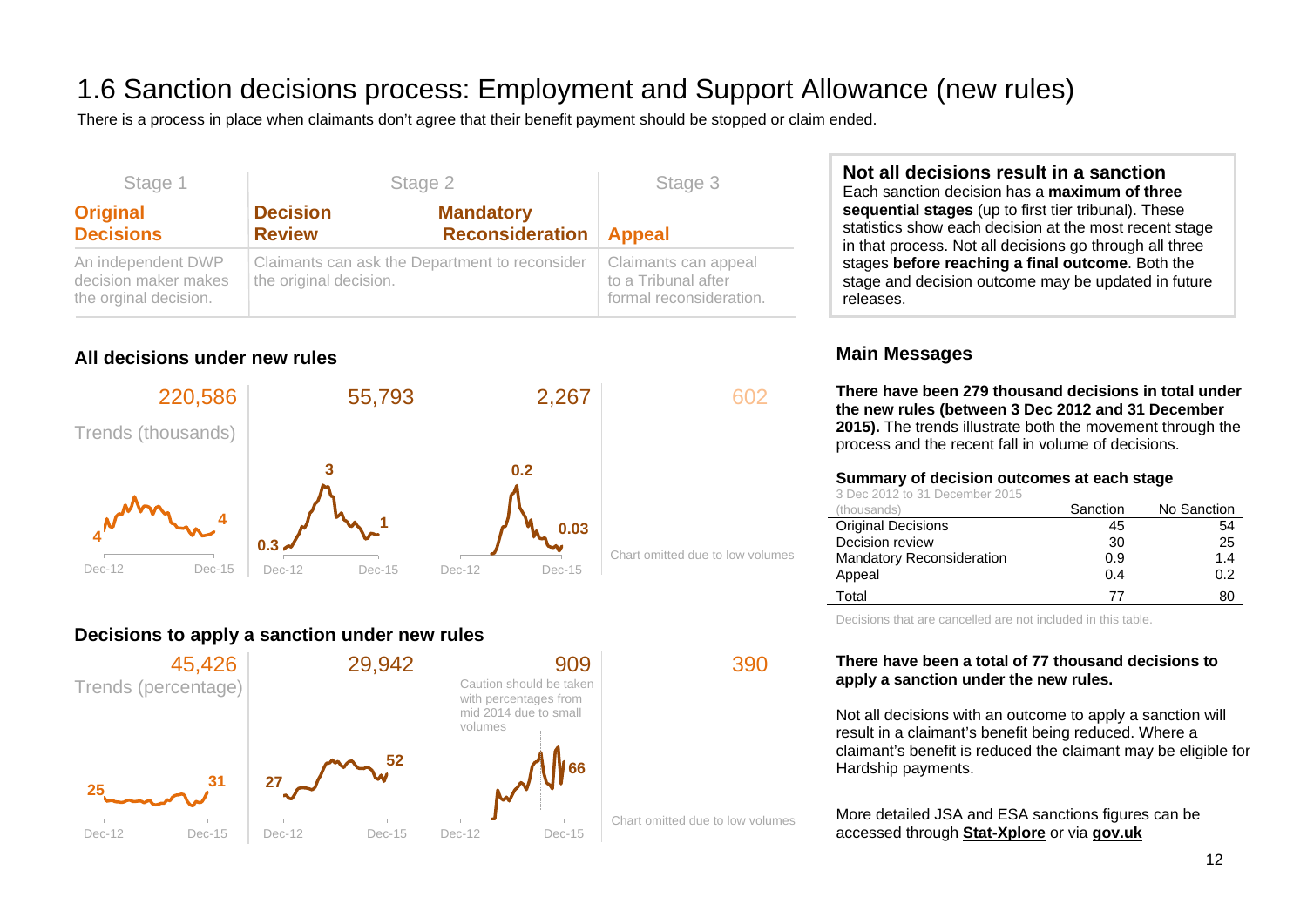# 1.6 Sanction decisions process: Employment and Support Allowance (new rules)

There is a process in place when claimants don't agree that their benefit payment should be stopped or claim ended.

| Stage 1                                                             |                                  | Stage 2                                        | Stage 3                                                                |
|---------------------------------------------------------------------|----------------------------------|------------------------------------------------|------------------------------------------------------------------------|
| <b>Original</b><br><b>Decisions</b>                                 | <b>Decision</b><br><b>Review</b> | <b>Mandatory</b><br><b>Reconsideration</b>     | <b>Appeal</b>                                                          |
| An independent DWP<br>decision maker makes<br>the orginal decision. | the original decision.           | Claimants can ask the Department to reconsider | Claimants can appeal<br>to a Tribunal after<br>formal reconsideration. |

# **All decisions under new rules**



# **Decisions to apply a sanction under new rules**



**Not all decisions result in a sanction** Each sanction decision has a **maximum of three sequential stages** (up to first tier tribunal). These statistics show each decision at the most recent stage in that process. Not all decisions go through all three stages **before reaching a final outcome**. Both the stage and decision outcome may be updated in future releases.

# **Main Messages**

**There have been 279 thousand decisions in total under the new rules (between 3 Dec 2012 and 31 December 2015).** The trends illustrate both the movement through the process and the recent fall in volume of decisions.

#### **Summary of decision outcomes at each stage**

3 Dec 2012 to 31 December 2015

| (thousands)                      | Sanction | No Sanction |
|----------------------------------|----------|-------------|
| <b>Original Decisions</b>        | 45       | 54          |
| Decision review                  | 30       | 25          |
| <b>Mandatory Reconsideration</b> | 0.9      | 1.4         |
| Appeal                           | 0.4      | 0.2         |
| Total                            | 77       | 80          |

Decisions that are cancelled are not included in this table.

### **There have been a total of 77 thousand decisions to apply a sanction under the new rules.**

Not all decisions with an outcome to apply a sanction will result in a claimant's benefit being reduced. Where a claimant's benefit is reduced the claimant may be eligible for Hardship payments.

More detailed JSA and ESA sanctions figures can be accessed through **[Stat-Xplore](https://stat-xplore.dwp.gov.uk/)** or via **[gov.uk](https://www.gov.uk/government/collections/jobseekers-allowance-sanctions)**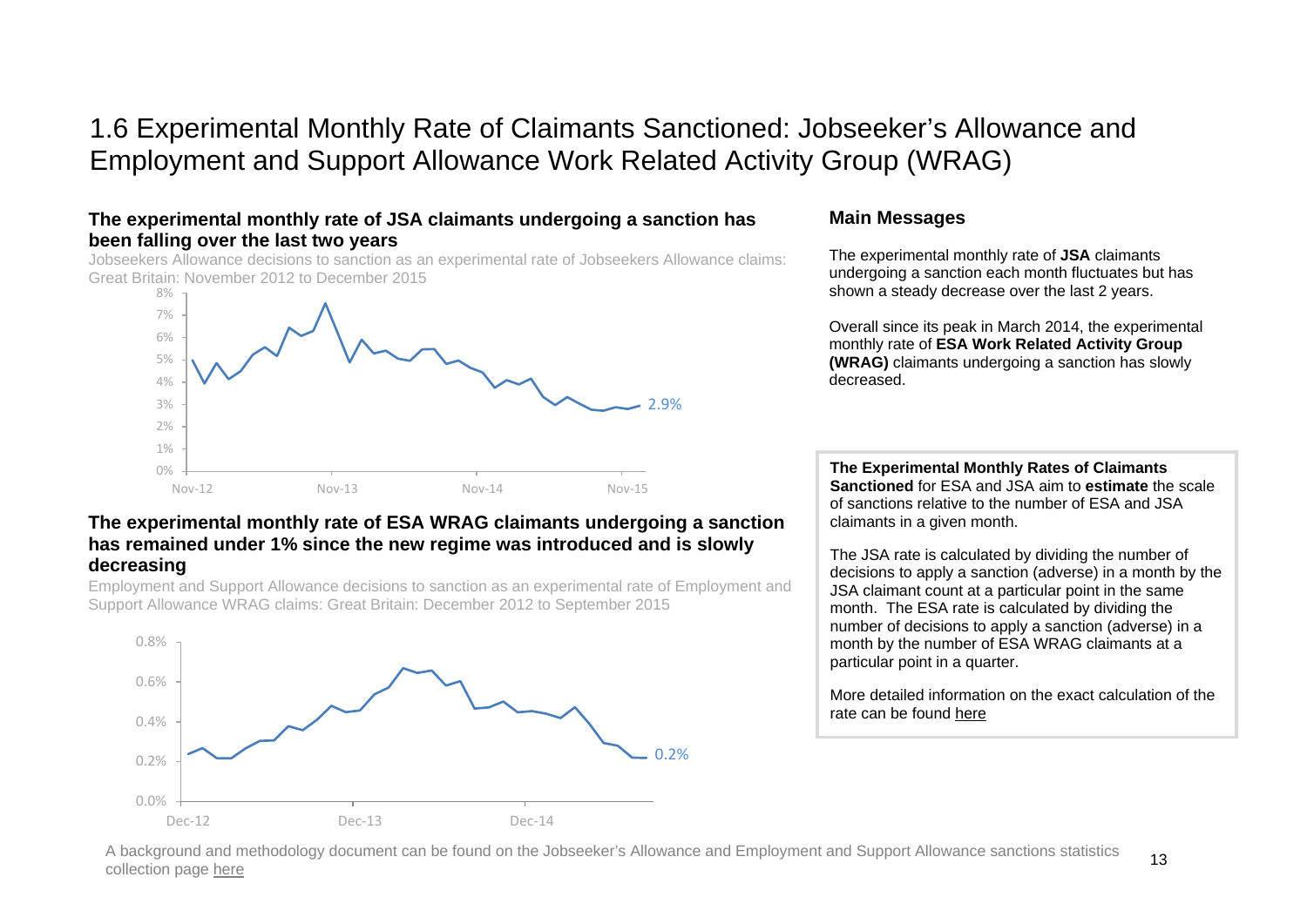# 1.6 Experimental Monthly Rate of Claimants Sanctioned: Jobseeker's Allowance and Employment and Support Allowance Work Related Activity Group (WRAG)

### **The experimental monthly rate of JSA claimants undergoing a sanction has been falling over the last two years**

Jobseekers Allowance decisions to sanction as an experimental rate of Jobseekers Allowance claims: Great Britain: November 2012 to December 2015



### **The experimental monthly rate of ESA WRAG claimants undergoing a sanction has remained under 1% since the new regime was introduced and is slowly decreasing**

Employment and Support Allowance decisions to sanction as an experimental rate of Employment and Support Allowance WRAG claims: Great Britain: December 2012 to September 2015



### **Main Messages**

The experimental monthly rate of **JSA** claimants undergoing a sanction each month fluctuates but has shown a steady decrease over the last 2 years.

Overall since its peak in March 2014, the experimental monthly rate of **ESA Work Related Activity Group (WRAG)** claimants undergoing a sanction has slowly decreased.

**The Experimental Monthly Rates of Claimants Sanctioned** for ESA and JSA aim to **estimate** the scale of sanctions relative to the number of ESA and JSA claimants in a given month.

The JSA rate is calculated by dividing the number of decisions to apply a sanction (adverse) in a month by the JSA claimant count at a particular point in the same month. The ESA rate is calculated by dividing the number of decisions to apply a sanction (adverse) in a month by the number of ESA WRAG claimants at a particular point in a quarter.

More detailed information on the exact calculation of the rate can be found [here](https://www.gov.uk/government/uploads/system/uploads/attachment_data/file/523832/monthly-rate-of-claims-sanctioned-background-and-methodology.pdf)

A background and methodology document can be found on the Jobseeker's Allowance and Employment and Support Allowance sanctions statistics collection page [here](https://www.gov.uk/government/uploads/system/uploads/attachment_data/file/523832/monthly-rate-of-claims-sanctioned-background-and-methodology.pdf)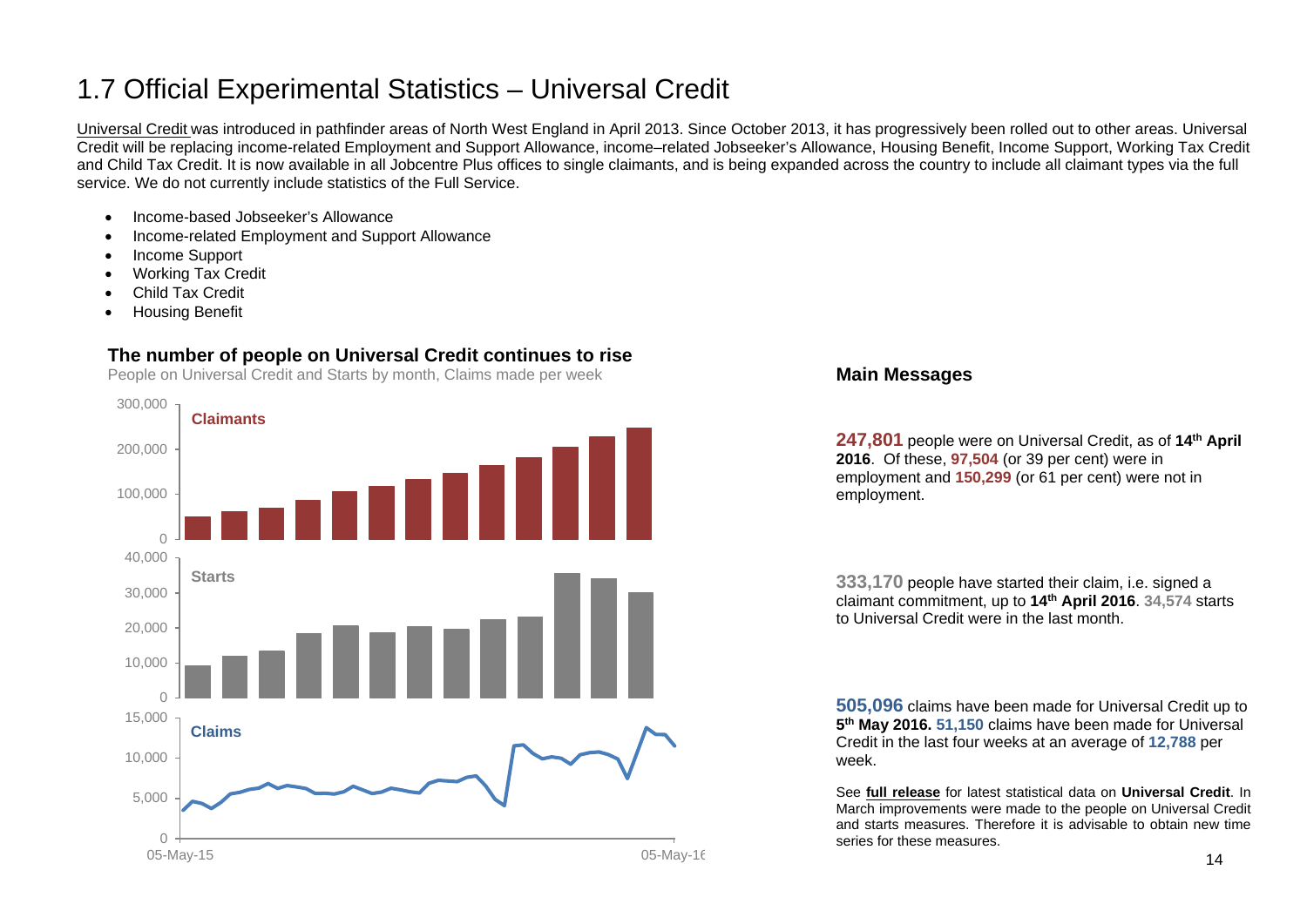# <span id="page-13-0"></span>1.7 Official Experimental Statistics – Universal Credit

[Universal Credit](https://www.gov.uk/government/collections/universal-credit-statistics) was introduced in pathfinder areas of North West England in April 2013. Since October 2013, it has progressively been rolled out to other areas. Universal Credit will be replacing income-related Employment and Support Allowance, income–related Jobseeker's Allowance, Housing Benefit, Income Support, Working Tax Credit and Child Tax Credit. It is now available in all Jobcentre Plus offices to single claimants, and is being expanded across the country to include all claimant types via the full service. We do not currently include statistics of the Full Service.

- Income-based Jobseeker's Allowance
- Income-related Employment and Support Allowance
- Income Support
- Working Tax Credit
- Child Tax Credit
- Housing Benefit

# **The number of people on Universal Credit continues to rise**

People on Universal Credit and Starts by month, Claims made per week



### **Main Messages**

**247,801** people were on Universal Credit, as of **14th April 2016**. Of these, **97,504** (or 39 per cent) were in employment and **150,299** (or 61 per cent) were not in employment.

**333,170** people have started their claim, i.e. signed a claimant commitment, up to **14th April 2016**. **34,574** starts to Universal Credit were in the last month.

**505,096** claims have been made for Universal Credit up to **5th May 2016. 51,150** claims have been made for Universal Credit in the last four weeks at an average of **12,788** per week.

See **[full release](https://www.gov.uk/government/collections/universal-credit-statistics)** for latest statistical data on **Universal Credit**. In March improvements were made to the people on Universal Credit and starts measures. Therefore it is advisable to obtain new time series for these measures.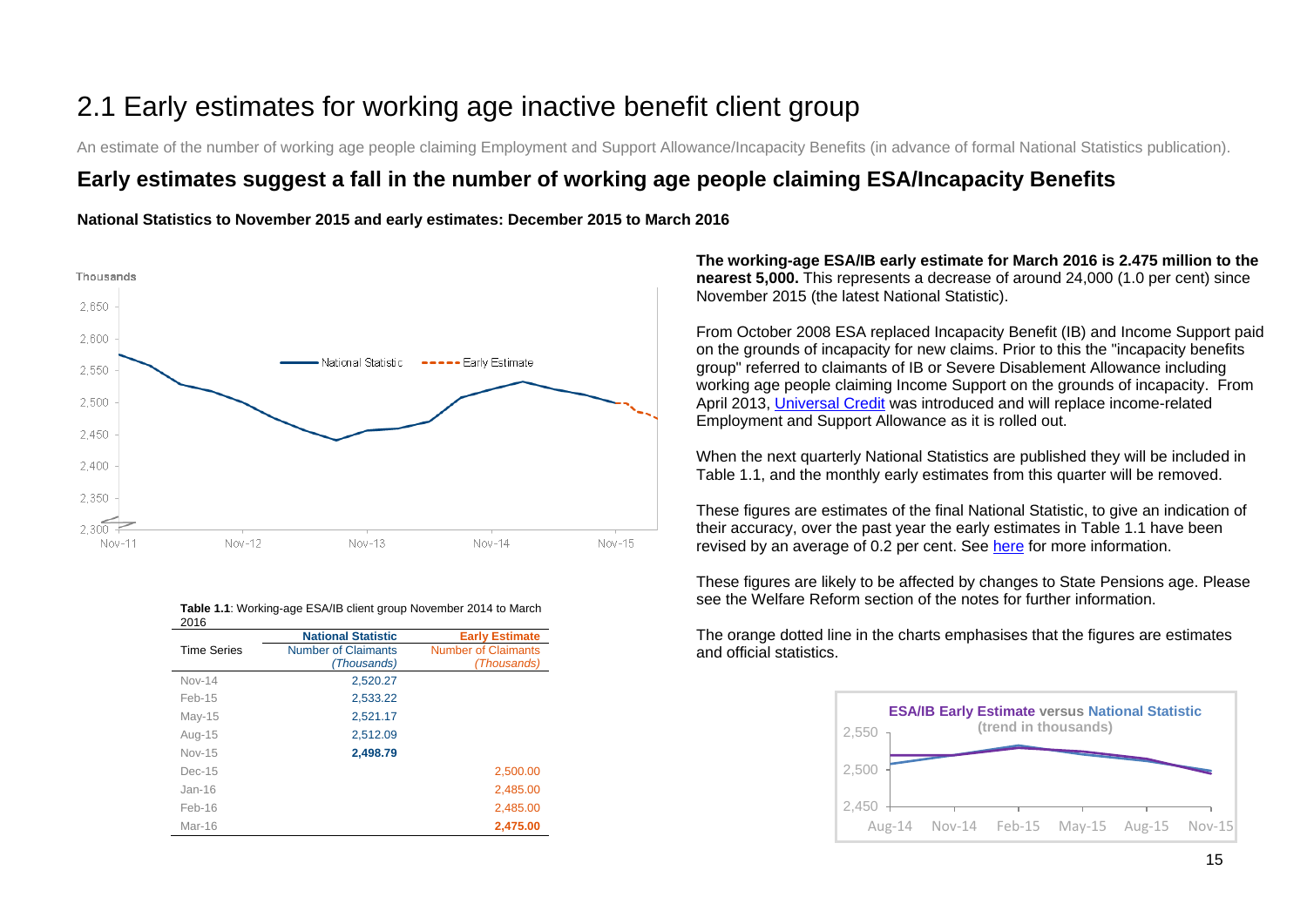# <span id="page-14-0"></span>2.1 Early estimates for working age inactive benefit client group

An estimate of the number of working age people claiming Employment and Support Allowance/Incapacity Benefits (in advance of formal National Statistics publication).

# **Early estimates suggest a fall in the number of working age people claiming ESA/Incapacity Benefits**

**National Statistics to November 2015 and early estimates: December 2015 to March 2016**



| 2016               |                            |                            |
|--------------------|----------------------------|----------------------------|
|                    | <b>National Statistic</b>  | <b>Early Estimate</b>      |
| <b>Time Series</b> | <b>Number of Claimants</b> | <b>Number of Claimants</b> |
|                    | (Thousands)                | (Thousands)                |
| $Nov-14$           | 2,520.27                   |                            |
| $Feb-15$           | 2,533.22                   |                            |
| May-15             | 2,521.17                   |                            |
| Aug-15             | 2,512.09                   |                            |
| $Nov-15$           | 2,498.79                   |                            |
| $Dec-15$           |                            | 2,500.00                   |
| $Jan-16$           |                            | 2,485.00                   |
| $Feb-16$           |                            | 2,485.00                   |
| Mar-16             |                            | 2,475.00                   |

**Table 1.1**: Working-age ESA/IB client group November 2014 to March 2016

**The working-age ESA/IB early estimate for March 2016 is 2.475 million to the nearest 5,000.** This represents a decrease of around 24,000 (1.0 per cent) since November 2015 (the latest National Statistic).

From October 2008 ESA replaced Incapacity Benefit (IB) and Income Support paid on the grounds of incapacity for new claims. Prior to this the "incapacity benefits group" referred to claimants of IB or Severe Disablement Allowance including working age people claiming Income Support on the grounds of incapacity. From April 2013, [Universal Credit](https://www.gov.uk/government/collections/universal-credit-statistics) was introduced and will replace income-related Employment and Support Allowance as it is rolled out.

When the next quarterly National Statistics are published they will be included in Table 1.1, and the monthly early estimates from this quarter will be removed.

These figures are estimates of the final National Statistic, to give an indication of their accuracy, over the past year the early estimates in Table 1.1 have been revised by an average of 0.2 per cent. See [here](https://www.gov.uk/government/uploads/system/uploads/attachment_data/file/204838/tech-doc-early-estimates-working-age-inactive.pdf) for more information.

These figures are likely to be affected by changes to State Pensions age. Please see the Welfare Reform section of the notes for further information.

The orange dotted line in the charts emphasises that the figures are estimates and official statistics.

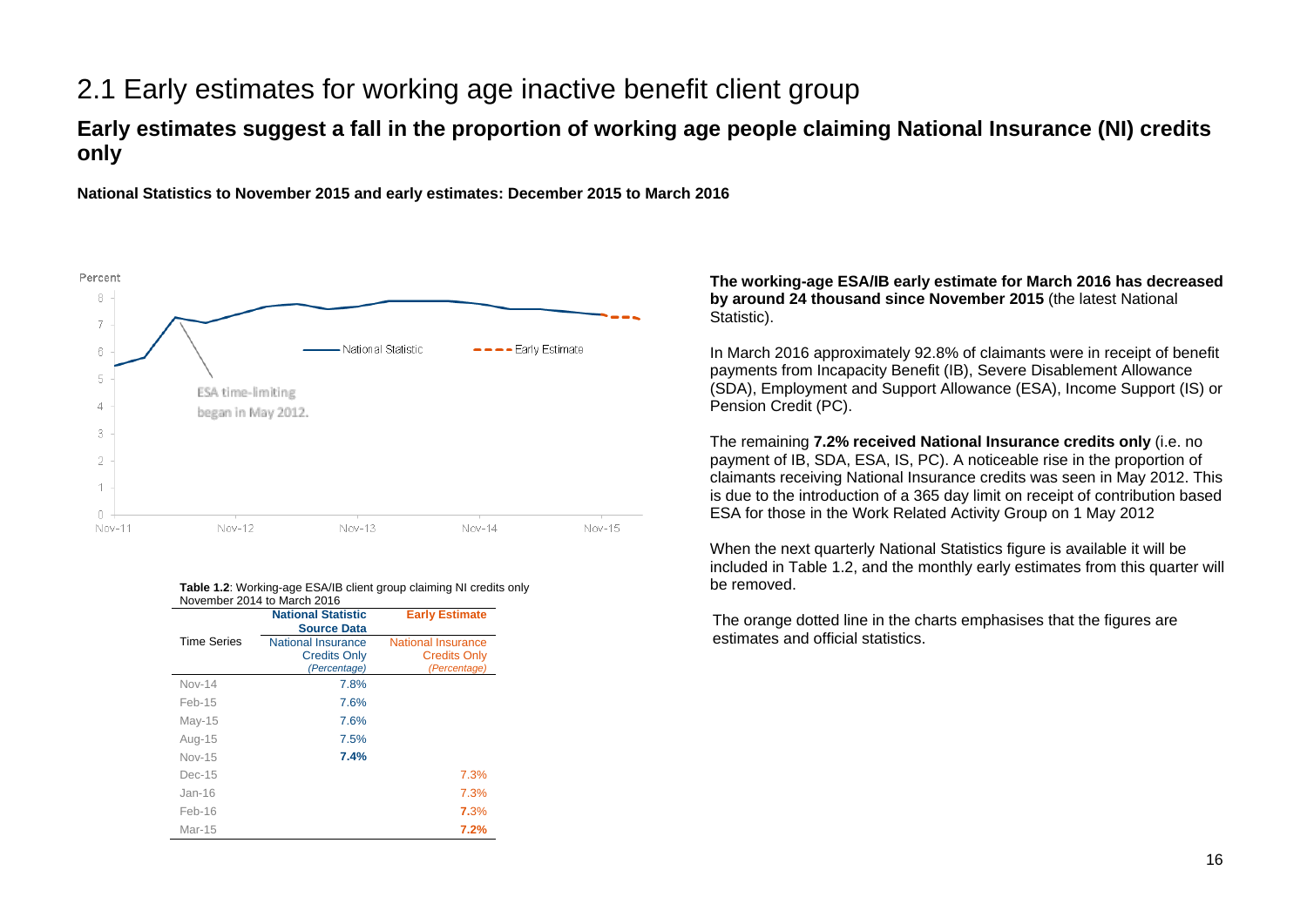# 2.1 Early estimates for working age inactive benefit client group

# **Early estimates suggest a fall in the proportion of working age people claiming National Insurance (NI) credits only**

**National Statistics to November 2015 and early estimates: December 2015 to March 2016**



#### **Table 1.2:** Working-age ESA/IB client group claiming NI credits only November 2014 to March 2016

|                    | <b>National Statistic</b><br><b>Source Data</b>                  | <b>Early Estimate</b>                                            |
|--------------------|------------------------------------------------------------------|------------------------------------------------------------------|
| <b>Time Series</b> | <b>National Insurance</b><br><b>Credits Only</b><br>(Percentage) | <b>National Insurance</b><br><b>Credits Only</b><br>(Percentage) |
| <b>Nov-14</b>      | 7.8%                                                             |                                                                  |
| Feb-15             | 7.6%                                                             |                                                                  |
| $May-15$           | 7.6%                                                             |                                                                  |
| Aug-15             | 7.5%                                                             |                                                                  |
| Nov-15             | 7.4%                                                             |                                                                  |
| $Dec-15$           |                                                                  | 7.3%                                                             |
| $Jan-16$           |                                                                  | 7.3%                                                             |
| Feb-16             |                                                                  | 7.3%                                                             |
| Mar-15             |                                                                  | 7.2%                                                             |

#### **The working-age ESA/IB early estimate for March 2016 has decreased by around 24 thousand since November 2015** (the latest National Statistic).

In March 2016 approximately 92.8% of claimants were in receipt of benefit payments from Incapacity Benefit (IB), Severe Disablement Allowance (SDA), Employment and Support Allowance (ESA), Income Support (IS) or Pension Credit (PC).

The remaining **7.2% received National Insurance credits only** (i.e. no payment of IB, SDA, ESA, IS, PC). A noticeable rise in the proportion of claimants receiving National Insurance credits was seen in May 2012. This is due to the introduction of a 365 day limit on receipt of contribution based ESA for those in the Work Related Activity Group on 1 May 2012

When the next quarterly National Statistics figure is available it will be included in Table 1.2, and the monthly early estimates from this quarter will be removed.

The orange dotted line in the charts emphasises that the figures are estimates and official statistics.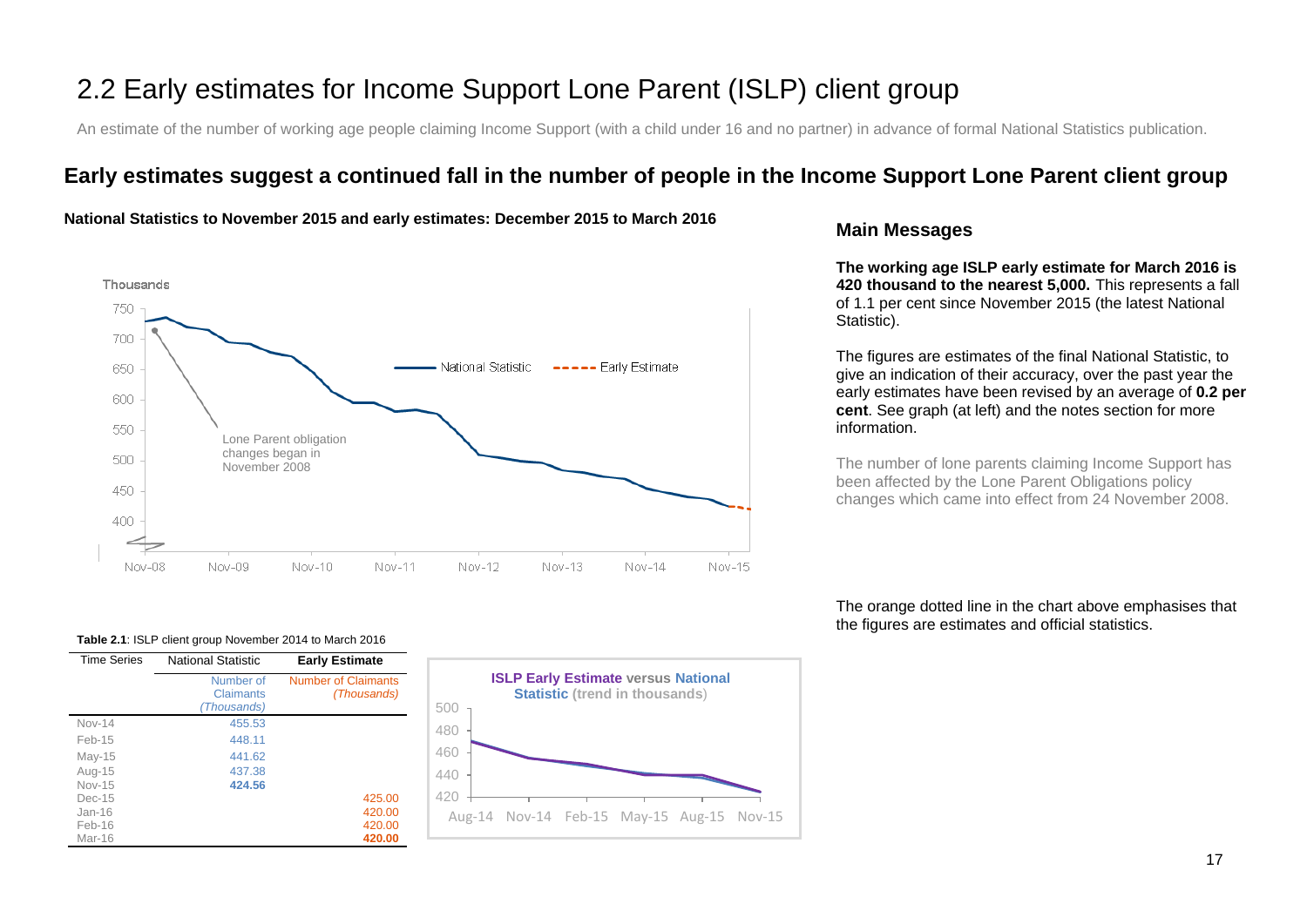# 2.2 Early estimates for Income Support Lone Parent (ISLP) client group

An estimate of the number of working age people claiming Income Support (with a child under 16 and no partner) in advance of formal National Statistics publication.

# **Early estimates suggest a continued fall in the number of people in the Income Support Lone Parent client group**





### **Main Messages**

**The working age ISLP early estimate for March 2016 is 420 thousand to the nearest 5,000.** This represents a fall of 1.1 per cent since November 2015 (the latest National Statistic).

The figures are estimates of the final National Statistic, to give an indication of their accuracy, over the past year the early estimates have been revised by an average of **0.2 per cent**. See graph (at left) and the notes section for more information.

The number of lone parents claiming Income Support has been affected by the Lone Parent Obligations policy changes which came into effect from 24 November 2008.

The orange dotted line in the chart above emphasises that the figures are estimates and official statistics.

#### **Table 2.1**: ISLP client group November 2014 to March 2016

| <b>Time Series</b> | <b>National Statistic</b>             | <b>Early Estimate</b>                     |
|--------------------|---------------------------------------|-------------------------------------------|
|                    | Number of<br>Claimants<br>(Thousands) | <b>Number of Claimants</b><br>(Thousands) |
| $Nov-14$           | 455.53                                |                                           |
| Feb-15             | 448.11                                |                                           |
| $May-15$           | 441.62                                |                                           |
| Aug-15             | 437.38                                |                                           |
| $Nov-15$           | 424.56                                |                                           |
| $Dec-15$           |                                       | 425.00                                    |
| $Jan-16$           |                                       | 420.00                                    |
| $Feb-16$           |                                       | 420.00                                    |
| Mar-16             |                                       | 420.00                                    |

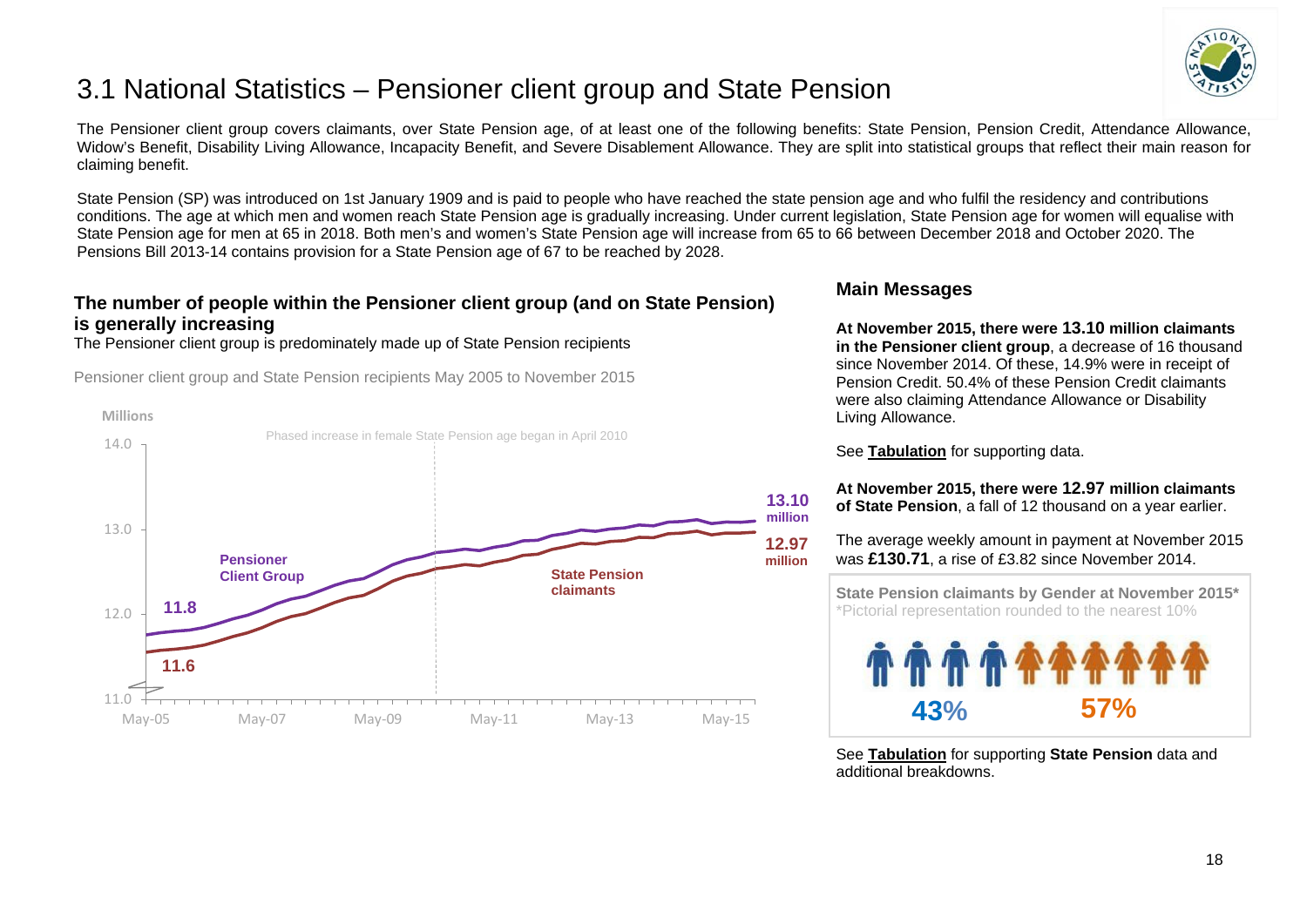

# <span id="page-17-0"></span>3.1 National Statistics – Pensioner client group and State Pension

The Pensioner client group covers claimants, over State Pension age, of at least one of the following benefits: State Pension, Pension Credit, Attendance Allowance, Widow's Benefit, Disability Living Allowance, Incapacity Benefit, and Severe Disablement Allowance. They are split into statistical groups that reflect their main reason for claiming benefit.

State Pension (SP) was introduced on 1st January 1909 and is paid to people who have reached the state pension age and who fulfil the residency and contributions conditions. The age at which men and women reach State Pension age is gradually increasing. Under current legislation, State Pension age for women will equalise with State Pension age for men at 65 in 2018. Both men's and women's State Pension age will increase from 65 to 66 between December 2018 and October 2020. The Pensions Bill 2013-14 contains provision for a State Pension age of 67 to be reached by 2028.

# **The number of people within the Pensioner client group (and on State Pension) is generally increasing**

The Pensioner client group is predominately made up of State Pension recipients

Pensioner client group and State Pension recipients May 2005 to November 2015



## **Main Messages**

**At November 2015, there were 13.10 million claimants in the Pensioner client group**, a decrease of 16 thousand since November 2014. Of these, 14.9% were in receipt of Pension Credit. 50.4% of these Pension Credit claimants were also claiming Attendance Allowance or Disability Living Allowance.

See **[Tabulation](http://tabulation-tool.dwp.gov.uk/100pc/pa/ccdate/ccpencomb/a_carate_r_ccdate_c_ccpencomb.html)** for supporting data.

**At November 2015, there were 12.97 million claimants of State Pension**, a fall of 12 thousand on a year earlier.

The average weekly amount in payment at November 2015 was **£130.71**, a rise of £3.82 since November 2014.

 **State Pension claimants by Gender at November 2015\*** \*Pictorial representation rounded to the nearest 10%



See **[Tabulation](http://ifdnsas1/modstats/updateAug15/100pc/pa/ccdate/ccpencomb/a_carate_r_ccdate_c_ccpencomb.html)** for supporting **State Pension** data and additional breakdowns.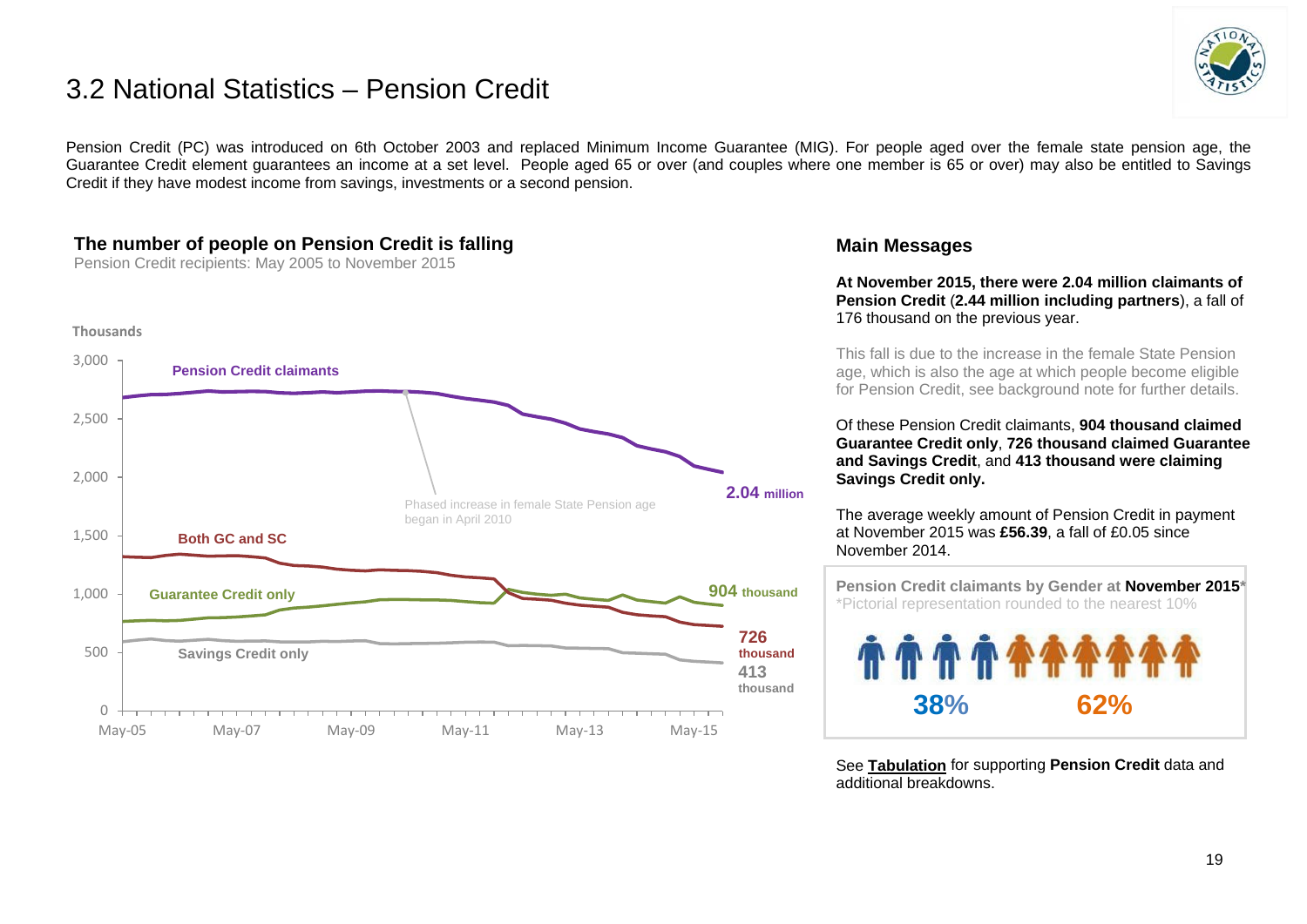# 3.2 National Statistics – Pension Credit



Pension Credit (PC) was introduced on 6th October 2003 and replaced Minimum Income Guarantee (MIG). For people aged over the female state pension age, the Guarantee Credit element guarantees an income at a set level. People aged 65 or over (and couples where one member is 65 or over) may also be entitled to Savings Credit if they have modest income from savings, investments or a second pension.

# **The number of people on Pension Credit is falling**

Pension Credit recipients: May 2005 to November 2015



### **Main Messages**

**At November 2015, there were 2.04 million claimants of Pension Credit** (**2.44 million including partners**), a fall of 176 thousand on the previous year.

This fall is due to the increase in the female State Pension age, which is also the age at which people become eligible for Pension Credit, see background note for further details.

Of these Pension Credit claimants, **904 thousand claimed Guarantee Credit only**, **726 thousand claimed Guarantee and Savings Credit**, and **413 thousand were claiming Savings Credit only.**

The average weekly amount of Pension Credit in payment at November 2015 was **£56.39**, a fall of £0.05 since November 2014.

 **Pension Credit claimants by Gender at November 2015\*** \*Pictorial representation rounded to the nearest 10% **38% 62%**

See **[Tabulation](http://tabulation-tool.dwp.gov.uk/100pc/pc/ccdate/pctype/a_carate_r_ccdate_c_pctype.html)** for supporting **Pension Credit** data and additional breakdowns.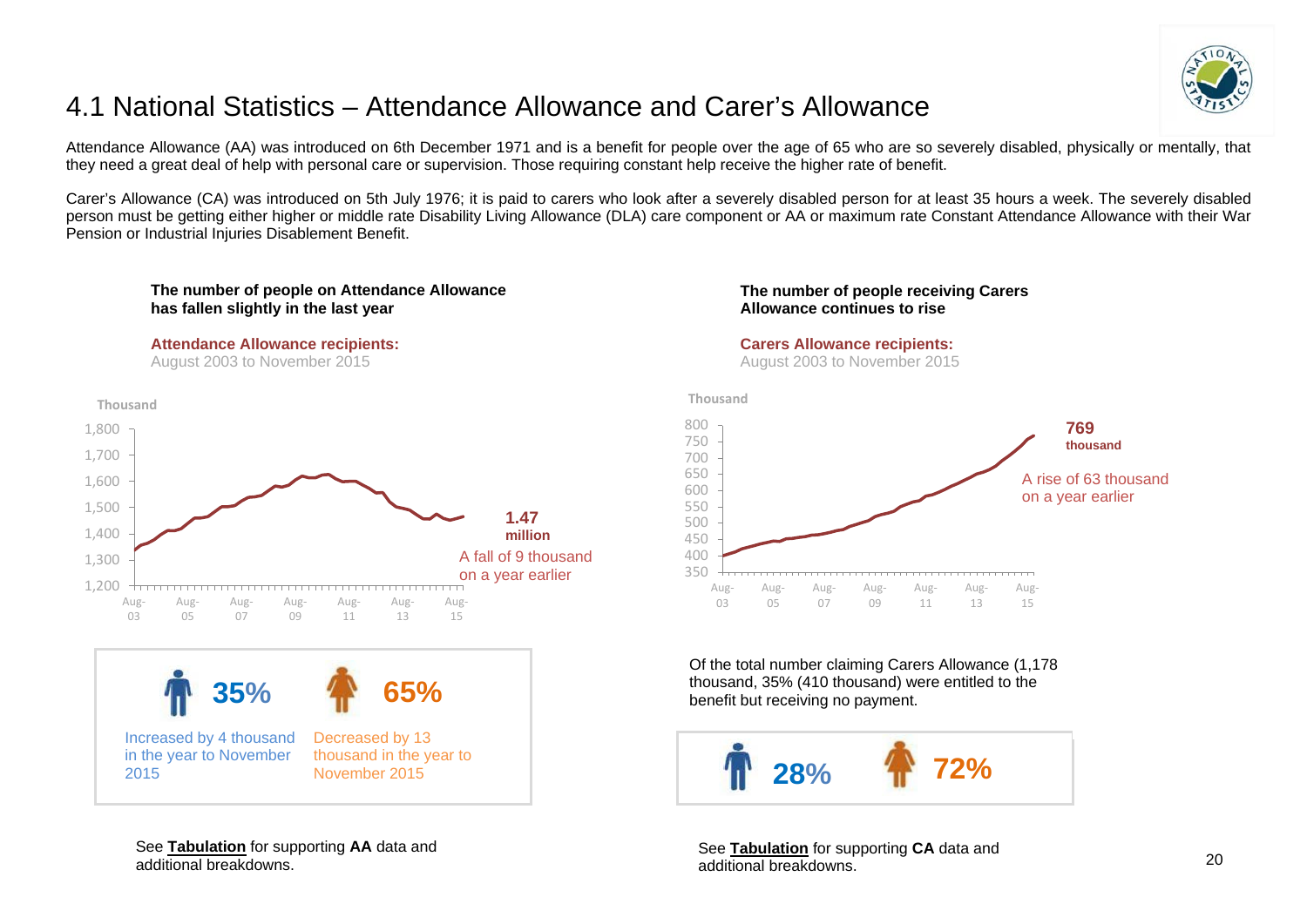

# <span id="page-19-0"></span>4.1 National Statistics – Attendance Allowance and Carer's Allowance

Attendance Allowance (AA) was introduced on 6th December 1971 and is a benefit for people over the age of 65 who are so severely disabled, physically or mentally, that they need a great deal of help with personal care or supervision. Those requiring constant help receive the higher rate of benefit.

Carer's Allowance (CA) was introduced on 5th July 1976; it is paid to carers who look after a severely disabled person for at least 35 hours a week. The severely disabled person must be getting either higher or middle rate Disability Living Allowance (DLA) care component or AA or maximum rate Constant Attendance Allowance with their War Pension or Industrial Injuries Disablement Benefit.



#### **Attendance Allowance recipients:**

August 2003 to November 2015



#### **The number of people receiving Carers Allowance continues to rise**

#### **Carers Allowance recipients:**

August 2003 to November 2015



Of the total number claiming Carers Allowance (1,178 thousand, 35% (410 thousand) were entitled to the benefit but receiving no payment.



See **[Tabulation](http://tabulation-tool.dwp.gov.uk/100pc/ca/tabtool_ca.html)** for supporting **CA** data and additional breakdowns.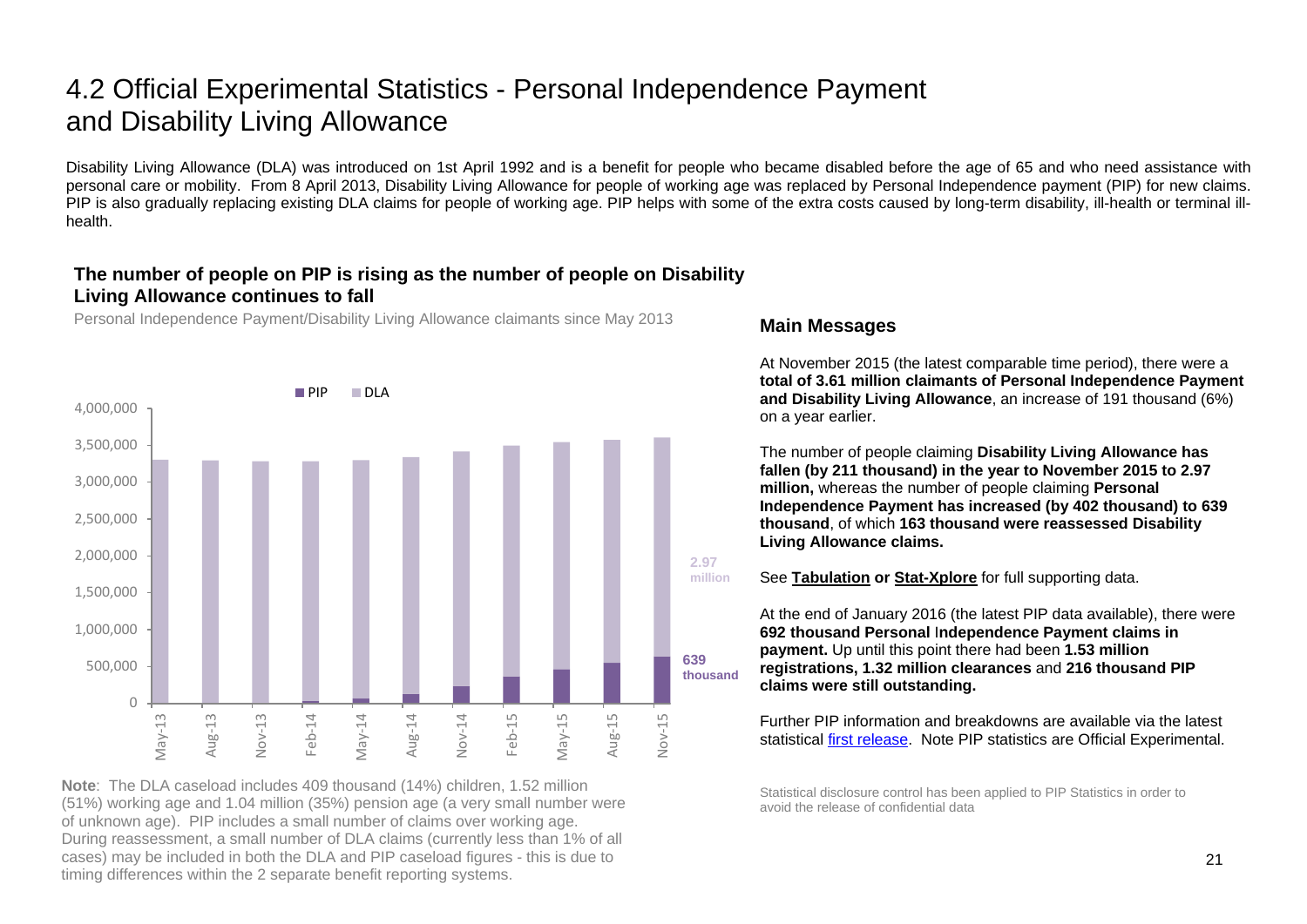# 4.2 Official Experimental Statistics - Personal Independence Payment and Disability Living Allowance

Disability Living Allowance (DLA) was introduced on 1st April 1992 and is a benefit for people who became disabled before the age of 65 and who need assistance with personal care or mobility. From 8 April 2013, Disability Living Allowance for people of working age was replaced by Personal Independence payment (PIP) for new claims. PIP is also gradually replacing existing DLA claims for people of working age. PIP helps with some of the extra costs caused by long-term disability, ill-health or terminal illhealth.

# **The number of people on PIP is rising as the number of people on Disability Living Allowance continues to fall**

Personal Independence Payment/Disability Living Allowance claimants since May 2013



**Note**: The DLA caseload includes 409 thousand (14%) children, 1.52 million (51%) working age and 1.04 million (35%) pension age (a very small number were of unknown age). PIP includes a small number of claims over working age. During reassessment, a small number of DLA claims (currently less than 1% of all cases) may be included in both the DLA and PIP caseload figures - this is due to timing differences within the 2 separate benefit reporting systems.

### **Main Messages**

At November 2015 (the latest comparable time period), there were a **total of 3.61 million claimants of Personal Independence Payment and Disability Living Allowance**, an increase of 191 thousand (6%) on a year earlier.

The number of people claiming **Disability Living Allowance has fallen (by 211 thousand) in the year to November 2015 to 2.97 million,** whereas the number of people claiming **Personal Independence Payment has increased (by 402 thousand) to 639 thousand**, of which **163 thousand were reassessed Disability Living Allowance claims.**



See **[Tabulation](http://tabulation-tool.dwp.gov.uk/100pc/dla/tabtool_dla.html) or [Stat-Xplore](https://stat-xplore.dwp.gov.uk/)** for full supporting data.

At the end of January 2016 (the latest PIP data available), there were **692 thousand Personal** I**ndependence Payment claims in payment.** Up until this point there had been **1.53 million registrations, 1.32 million clearances** and **216 thousand PIP claims were still outstanding.**

Further PIP information and breakdowns are available via the latest statistical [first release.](https://www.gov.uk/government/collections/personal-independence-payment-statistics) Note PIP statistics are Official Experimental.

Statistical disclosure control has been applied to PIP Statistics in order to avoid the release of confidential data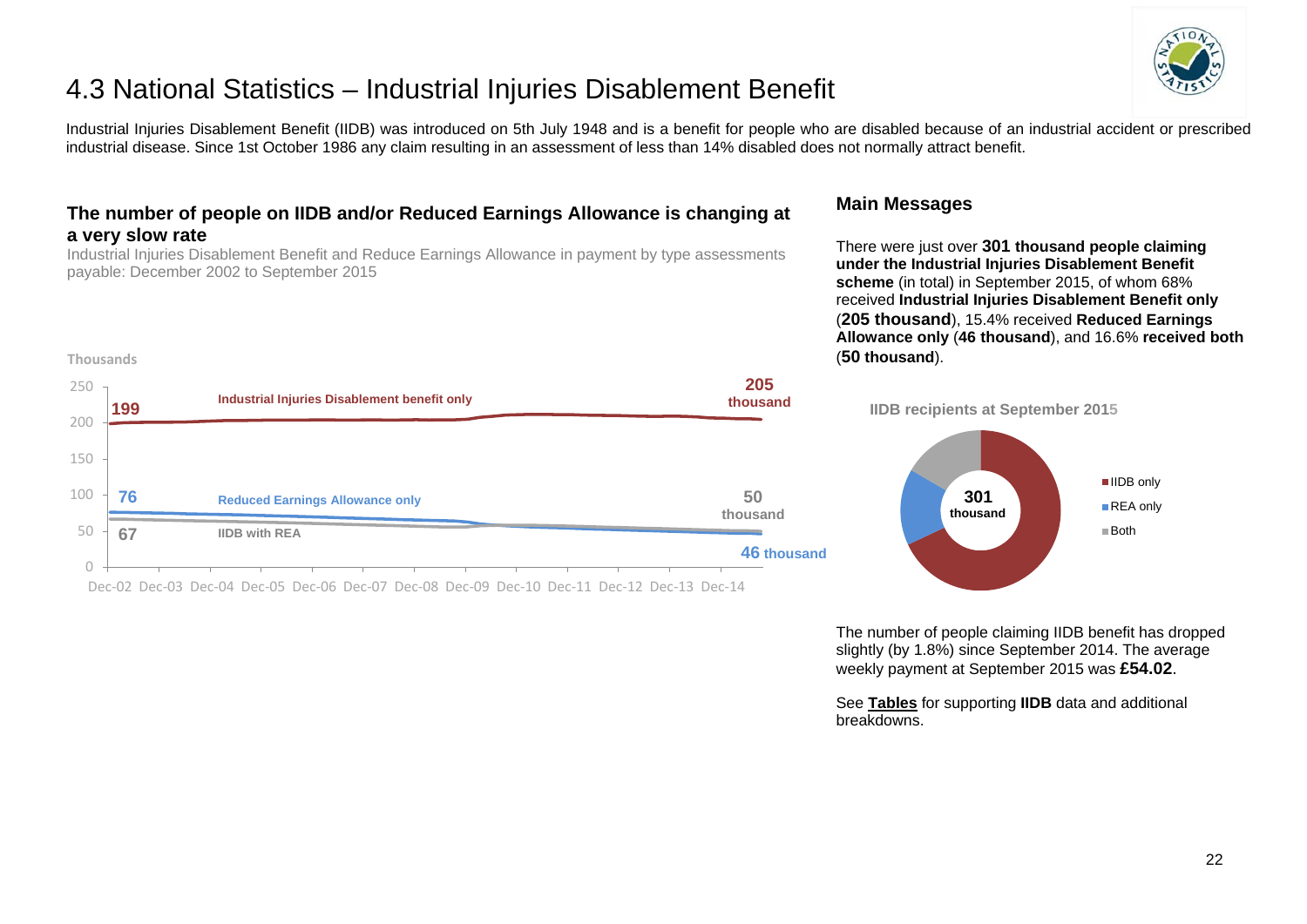

# 4.3 National Statistics – Industrial Injuries Disablement Benefit

Industrial Injuries Disablement Benefit (IIDB) was introduced on 5th July 1948 and is a benefit for people who are disabled because of an industrial accident or prescribed industrial disease. Since 1st October 1986 any claim resulting in an assessment of less than 14% disabled does not normally attract benefit.

# **The number of people on IIDB and/or Reduced Earnings Allowance is changing at a very slow rate**

Industrial Injuries Disablement Benefit and Reduce Earnings Allowance in payment by type assessments payable: December 2002 to September 2015

**Thousands**

### **Main Messages**

breakdowns.

There were just over **301 thousand people claiming under the Industrial Injuries Disablement Benefit scheme** (in total) in September 2015, of whom 68% received **Industrial Injuries Disablement Benefit only** (**205 thousand**), 15.4% received **Reduced Earnings Allowance only** (**46 thousand**), and 16.6% **received both** (**50 thousand**).

The number of people claiming IIDB benefit has dropped slightly (by 1.8%) since September 2014. The average weekly payment at September 2015 was **£54.02**.

See **[Tables](https://www.gov.uk/government/organisations/department-for-work-pensions/series/industrial-injuries-disablement-benefit-quarterly-statistics)** for supporting **IIDB** data and additional



Dec-02 Dec-03 Dec-04 Dec-05 Dec-06 Dec-07 Dec-08 Dec-09 Dec-10 Dec-11 Dec-12 Dec-13 Dec-14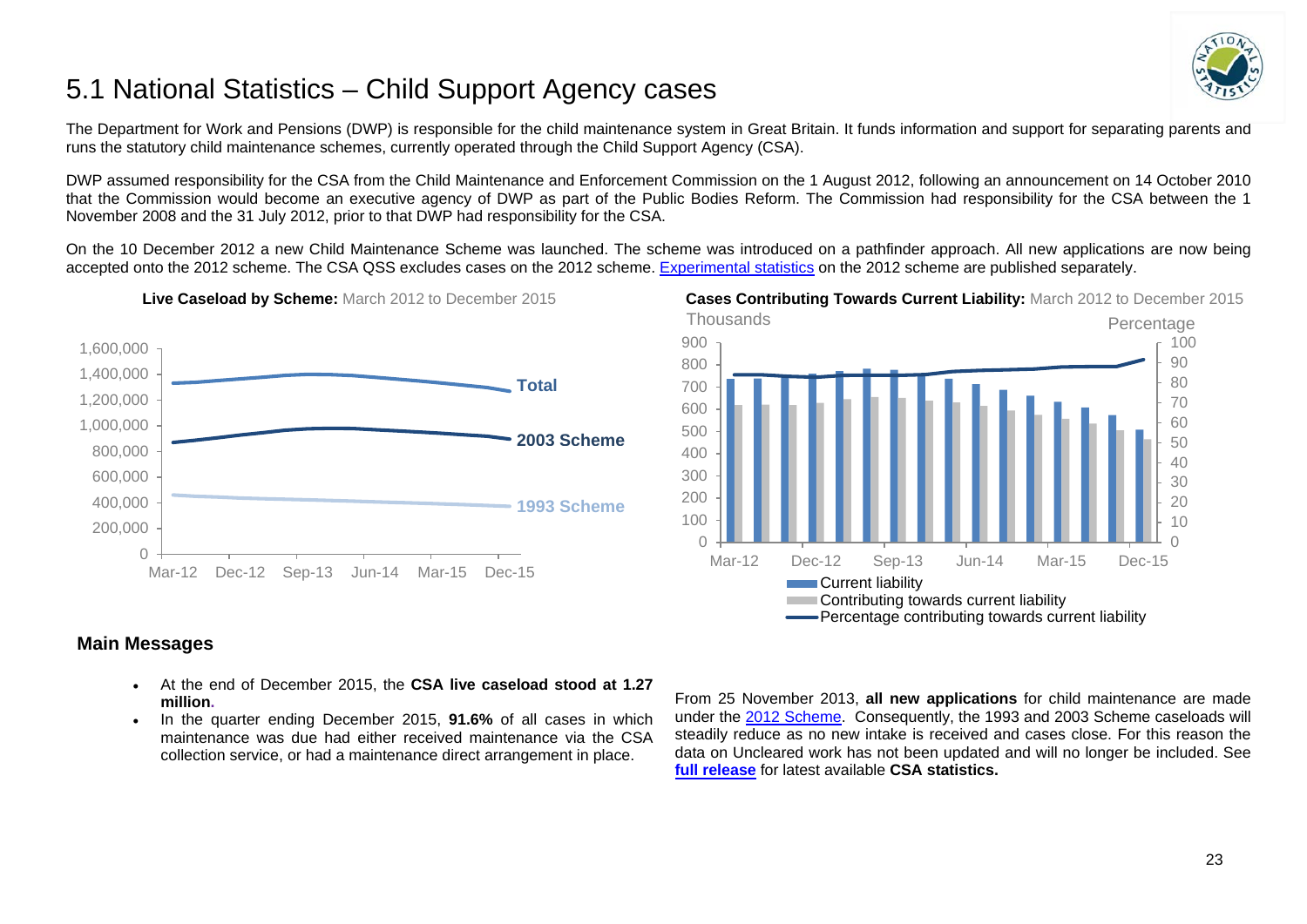

# <span id="page-22-0"></span>5.1 National Statistics – Child Support Agency cases

The Department for Work and Pensions (DWP) is responsible for the child maintenance system in Great Britain. It funds information and support for separating parents and runs the statutory child maintenance schemes, currently operated through the Child Support Agency (CSA).

DWP assumed responsibility for the CSA from the Child Maintenance and Enforcement Commission on the 1 August 2012, following an announcement on 14 October 2010 that the Commission would become an executive agency of DWP as part of the Public Bodies Reform. The Commission had responsibility for the CSA between the 1 November 2008 and the 31 July 2012, prior to that DWP had responsibility for the CSA.

On the 10 December 2012 a new Child Maintenance Scheme was launched. The scheme was introduced on a pathfinder approach. All new applications are now being accepted onto the 2012 scheme. The CSA QSS excludes cases on the 2012 scheme. [Experimental statistics](https://www.gov.uk/government/collections/statistics-on-the-2012-statutory-child-maintenance-scheme) on the 2012 scheme are published separately.



**Live Caseload by Scheme:** March 2012 to December 2015 **Cases Contributing Towards Current Liability:** March 2012 to December 2015



## **Main Messages**

- At the end of December 2015, the **CSA live caseload stood at 1.27 million.**
- In the quarter ending December 2015, **91.6%** of all cases in which maintenance was due had either received maintenance via the CSA collection service, or had a maintenance direct arrangement in place.

From 25 November 2013, **all new applications** for child maintenance are made under the [2012 Scheme.](https://www.gov.uk/government/collections/statistics-on-the-2012-statutory-child-maintenance-scheme) Consequently, the 1993 and 2003 Scheme caseloads will steadily reduce as no new intake is received and cases close. For this reason the data on Uncleared work has not been updated and will no longer be included. See **[full release](https://www.gov.uk/government/organisations/department-for-work-pensions/series/child-support-agency-quarterly-summary-statistics--2)** for latest available **CSA statistics.**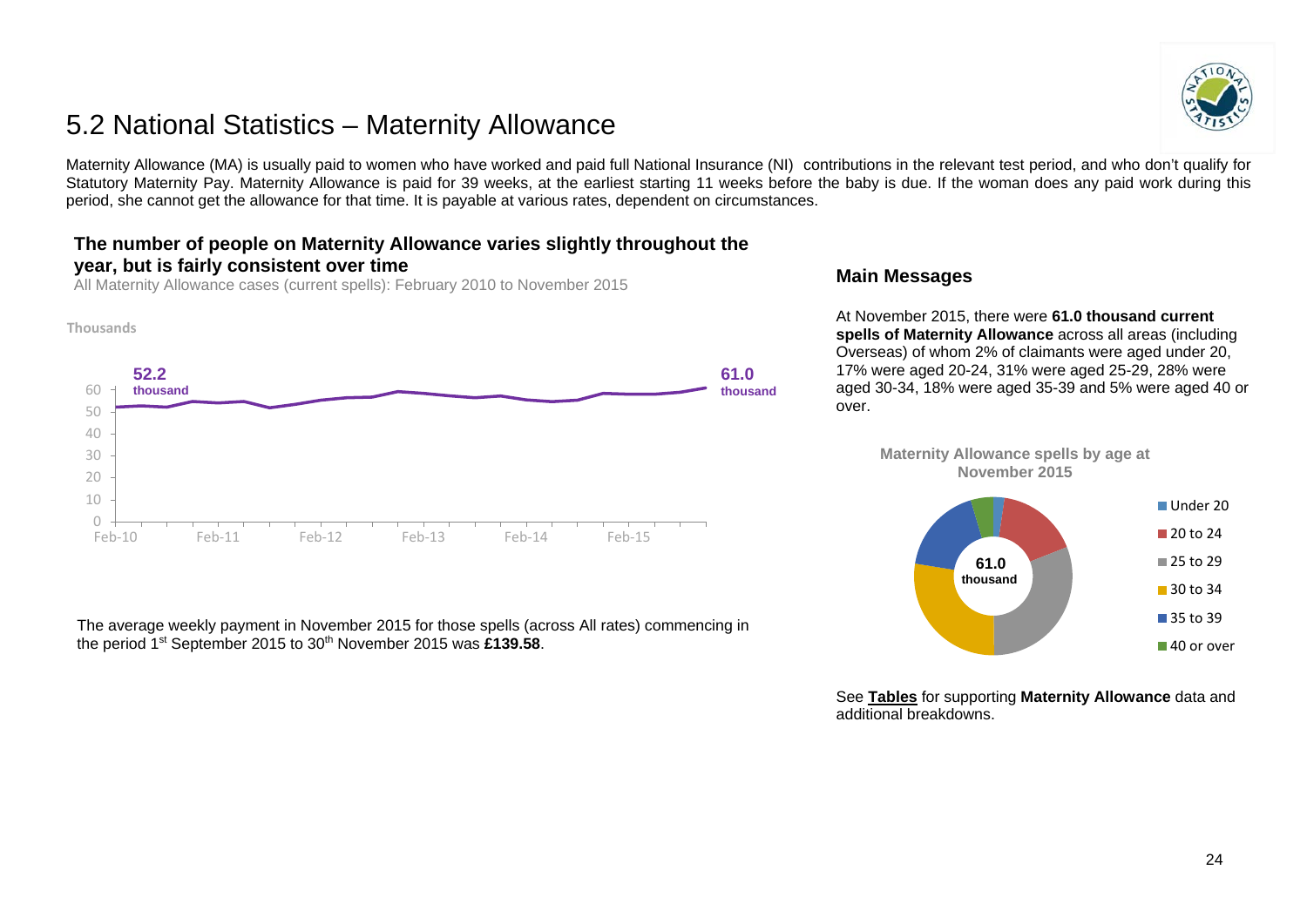# <span id="page-23-0"></span>5.2 National Statistics – Maternity Allowance

Maternity Allowance (MA) is usually paid to women who have worked and paid full National Insurance (NI) contributions in the relevant test period, and who don't qualify for Statutory Maternity Pay. Maternity Allowance is paid for 39 weeks, at the earliest starting 11 weeks before the baby is due. If the woman does any paid work during this period, she cannot get the allowance for that time. It is payable at various rates, dependent on circumstances.

# **The number of people on Maternity Allowance varies slightly throughout the year, but is fairly consistent over time**

All Maternity Allowance cases (current spells): February 2010 to November 2015



The average weekly payment in November 2015 for those spells (across All rates) commencing in the period 1st September 2015 to 30th November 2015 was **£139.58**.

### **Main Messages**

At November 2015, there were **61.0 thousand current spells of Maternity Allowance** across all areas (including Overseas) of whom 2% of claimants were aged under 20, 17% were aged 20-24, 31% were aged 25-29, 28% were aged 30-34, 18% were aged 35-39 and 5% were aged 40 or over.

**Maternity Allowance spells by age at November 2015**



See **[Tables](https://www.gov.uk/government/collections/maternity-allowance-quarterly-statistics)** for supporting **Maternity Allowance** data and additional breakdowns.

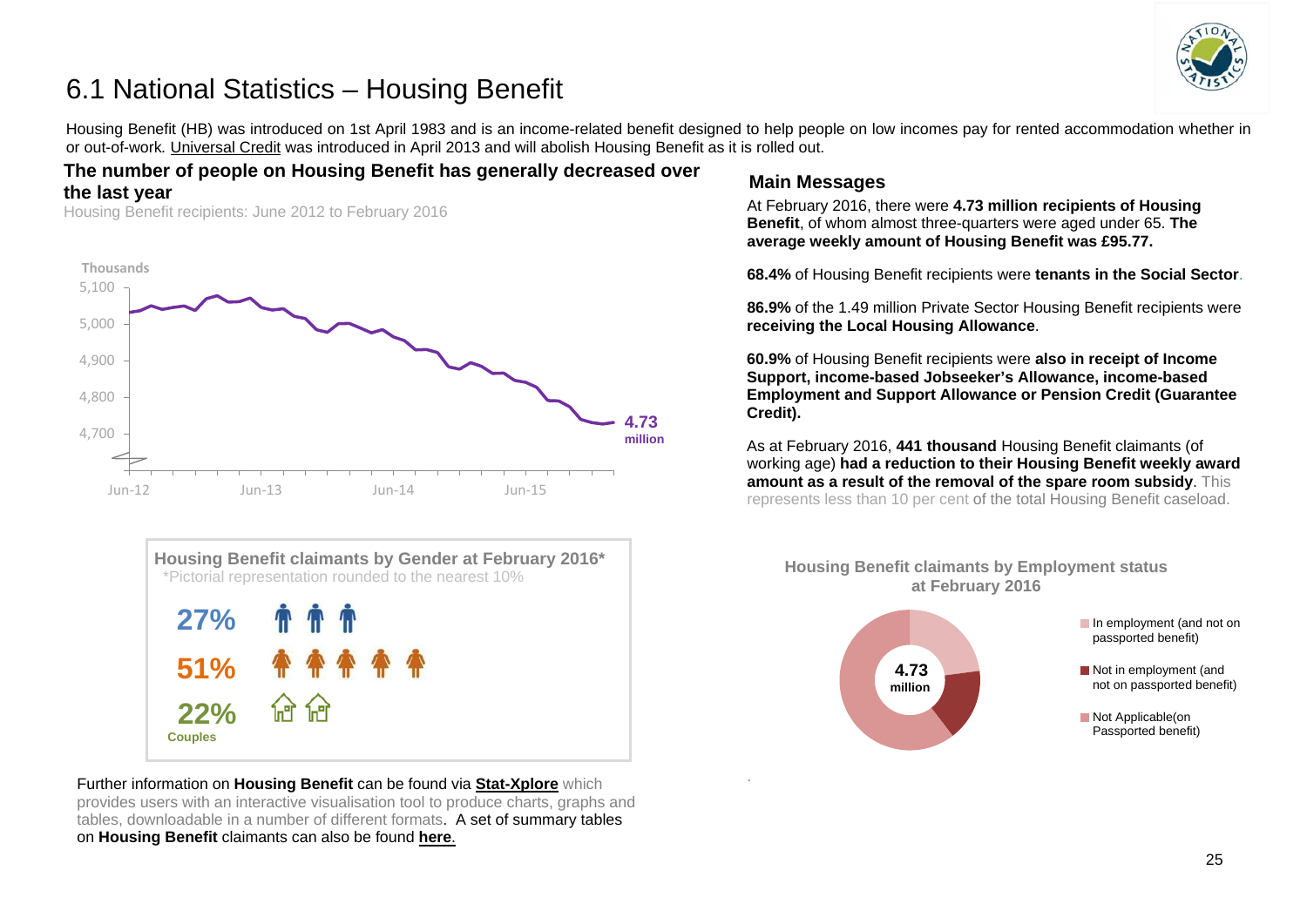

# <span id="page-24-0"></span>6.1 National Statistics – Housing Benefit

Housing Benefit (HB) was introduced on 1st April 1983 and is an income-related benefit designed to help people on low incomes pay for rented accommodation whether in or out-of-work*.* [Universal Credit](https://www.gov.uk/government/collections/universal-credit-statistics) was introduced in April 2013 and will abolish Housing Benefit as it is rolled out.

# **The number of people on Housing Benefit has generally decreased over the last year**

Housing Benefit recipients: June 2012 to February 2016





Further information on **Housing Benefit** can be found via **[Stat-Xplore](https://stat-xplore.dwp.gov.uk/)** which provides users with an interactive visualisation tool to produce charts, graphs and tables, downloadable in a number of different formats. A set of summary tables on **Housing Benefit** claimants can also be found **[here](https://www.gov.uk/government/collections/housing-benefit-and-council-tax-benefit-caseload-statistics--2)**.

# **Main Messages**

.

At February 2016, there were **4.73 million recipients of Housing Benefit**, of whom almost three-quarters were aged under 65. **The average weekly amount of Housing Benefit was £95.77.**

**68.4%** of Housing Benefit recipients were **tenants in the Social Sector**.

**86.9%** of the 1.49 million Private Sector Housing Benefit recipients were **receiving the Local Housing Allowance**.

**60.9%** of Housing Benefit recipients were **also in receipt of Income Support, income-based Jobseeker's Allowance, income-based Employment and Support Allowance or Pension Credit (Guarantee Credit).**

As at February 2016, **441 thousand** Housing Benefit claimants (of working age) **had a reduction to their Housing Benefit weekly award amount as a result of the removal of the spare room subsidy**. This represents less than 10 per cent of the total Housing Benefit caseload.

**Housing Benefit claimants by Employment status** 

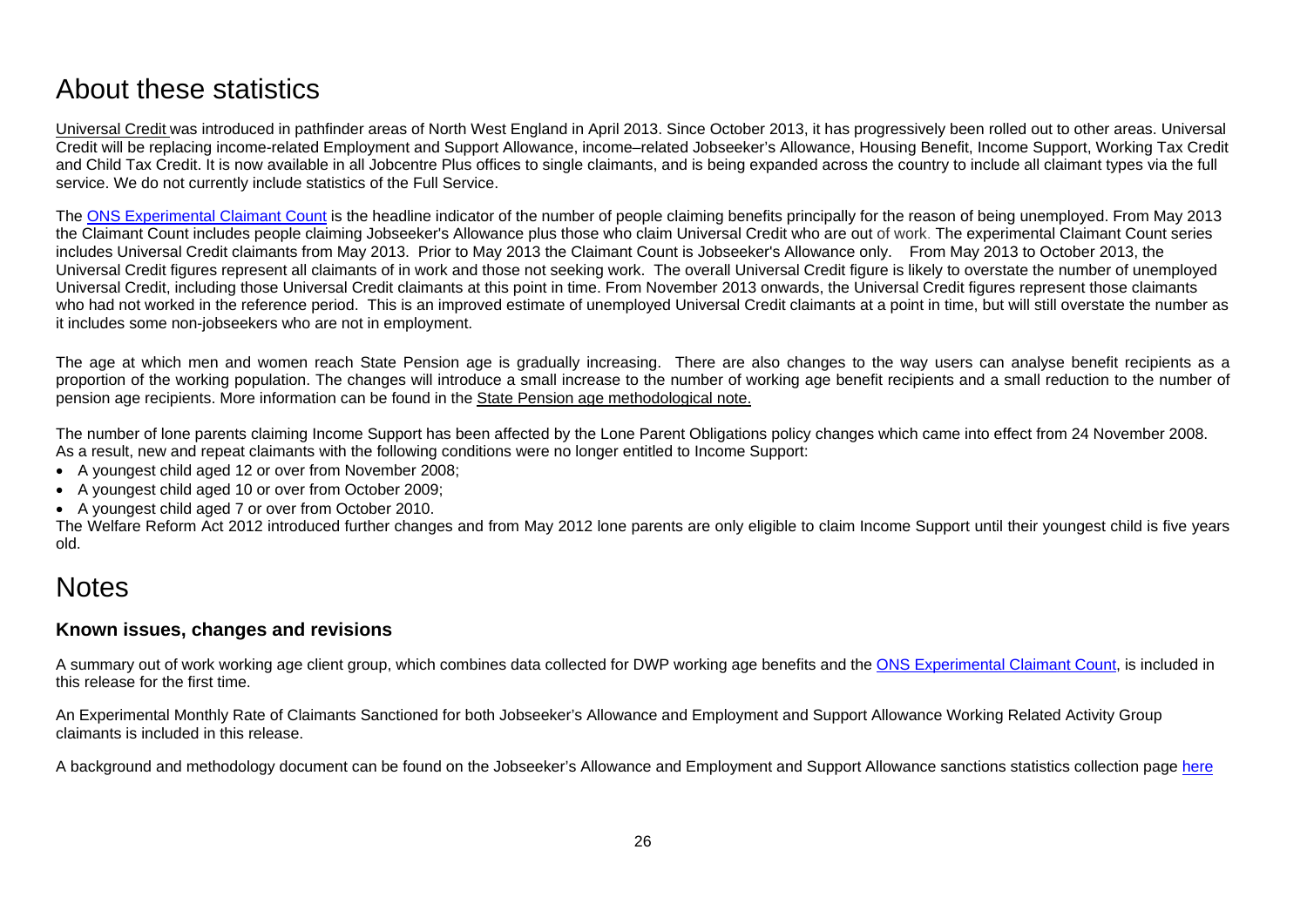# <span id="page-25-0"></span>About these statistics

<span id="page-25-1"></span>[Universal Credit](https://www.gov.uk/government/collections/universal-credit-statistics) was introduced in pathfinder areas of North West England in April 2013. Since October 2013, it has progressively been rolled out to other areas. Universal Credit will be replacing income-related Employment and Support Allowance, income–related Jobseeker's Allowance, Housing Benefit, Income Support, Working Tax Credit and Child Tax Credit. It is now available in all Jobcentre Plus offices to single claimants, and is being expanded across the country to include all claimant types via the full service. We do not currently include statistics of the Full Service.

The ONS [Experimental Claimant Count](https://www.nomisweb.co.uk/query/select/getdatasetbytheme.asp?theme=72) is the headline indicator of the number of people claiming benefits principally for the reason of being unemployed. From May 2013 the Claimant Count includes people claiming Jobseeker's Allowance plus those who claim Universal Credit who are out of work. The experimental Claimant Count series includes Universal Credit claimants from May 2013. Prior to May 2013 the Claimant Count is Jobseeker's Allowance only. From May 2013 to October 2013, the Universal Credit figures represent all claimants of in work and those not seeking work. The overall Universal Credit figure is likely to overstate the number of unemployed Universal Credit, including those Universal Credit claimants at this point in time. From November 2013 onwards, the Universal Credit figures represent those claimants who had not worked in the reference period. This is an improved estimate of unemployed Universal Credit claimants at a point in time, but will still overstate the number as it includes some non-jobseekers who are not in employment.

The age at which men and women reach State Pension age is gradually increasing. There are also changes to the way users can analyse benefit recipients as a proportion of the working population. The changes will introduce a small increase to the number of working age benefit recipients and a small reduction to the number of pension age recipients. More information can be found in the [State Pension age methodological note.](https://www.gov.uk/government/uploads/system/uploads/attachment_data/file/181343/spa-timetable.pdf)

The number of lone parents claiming Income Support has been affected by the Lone Parent Obligations policy changes which came into effect from 24 November 2008. As a result, new and repeat claimants with the following conditions were no longer entitled to Income Support:

- A youngest child aged 12 or over from November 2008;
- A youngest child aged 10 or over from October 2009;
- A youngest child aged 7 or over from October 2010.

The Welfare Reform Act 2012 introduced further changes and from May 2012 lone parents are only eligible to claim Income Support until their youngest child is five years old.

# **Notes**

## **Known issues, changes and revisions**

A summary out of work working age client group, which combines data collected for DWP working age benefits and the [ONS Experimental Claimant Count,](https://www.nomisweb.co.uk/query/select/getdatasetbytheme.asp?theme=72) is included in this release for the first time.

An Experimental Monthly Rate of Claimants Sanctioned for both Jobseeker's Allowance and Employment and Support Allowance Working Related Activity Group claimants is included in this release.

A background and methodology document can be found on the Jobseeker's Allowance and Employment and Support Allowance sanctions statistics collection page [here](https://www.gov.uk/government/collections/jobseekers-allowance-sanctions)